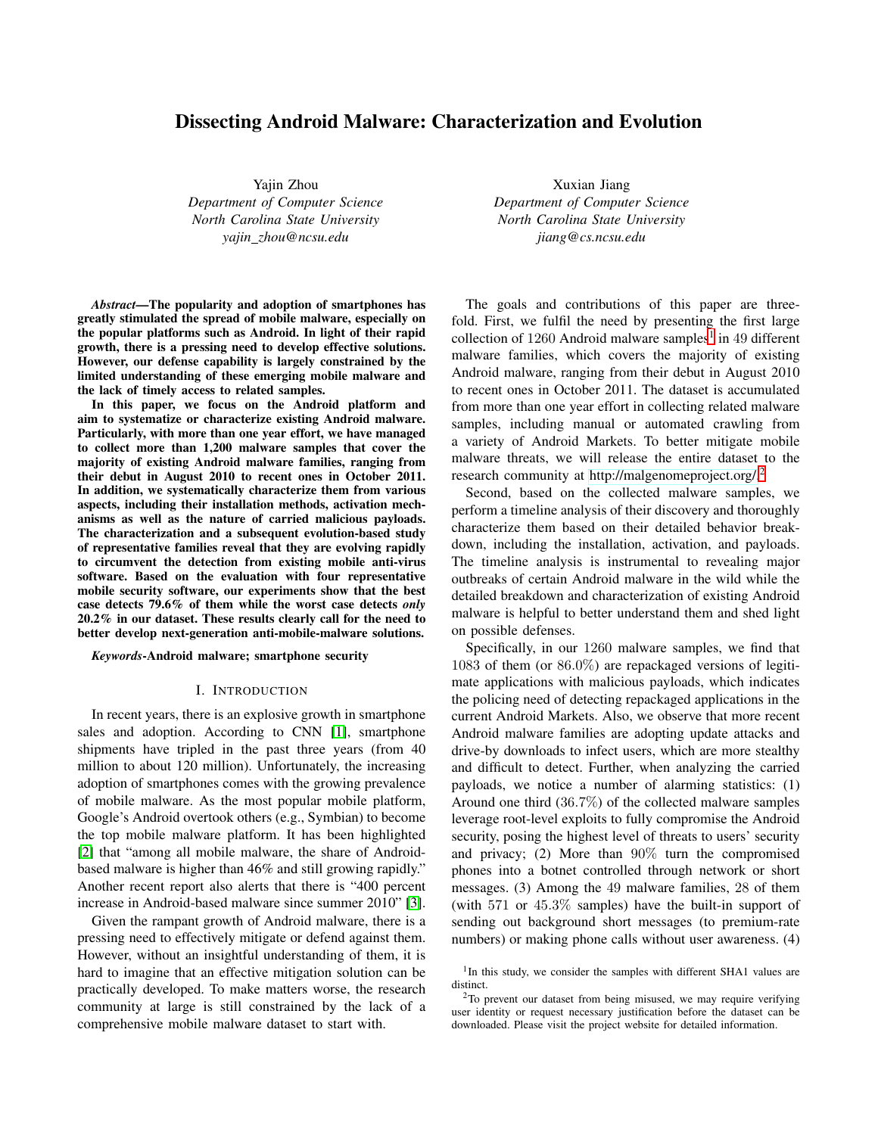# Dissecting Android Malware: Characterization and Evolution

Yajin Zhou *Department of Computer Science North Carolina State University yajin zhou@ncsu.edu*

*Abstract*—The popularity and adoption of smartphones has greatly stimulated the spread of mobile malware, especially on the popular platforms such as Android. In light of their rapid growth, there is a pressing need to develop effective solutions. However, our defense capability is largely constrained by the limited understanding of these emerging mobile malware and the lack of timely access to related samples.

In this paper, we focus on the Android platform and aim to systematize or characterize existing Android malware. Particularly, with more than one year effort, we have managed to collect more than 1,200 malware samples that cover the majority of existing Android malware families, ranging from their debut in August 2010 to recent ones in October 2011. In addition, we systematically characterize them from various aspects, including their installation methods, activation mechanisms as well as the nature of carried malicious payloads. The characterization and a subsequent evolution-based study of representative families reveal that they are evolving rapidly to circumvent the detection from existing mobile anti-virus software. Based on the evaluation with four representative mobile security software, our experiments show that the best case detects 79.6% of them while the worst case detects *only* 20.2% in our dataset. These results clearly call for the need to better develop next-generation anti-mobile-malware solutions.

*Keywords*-Android malware; smartphone security

#### I. INTRODUCTION

In recent years, there is an explosive growth in smartphone sales and adoption. According to CNN [\[1\]](#page-13-0), smartphone shipments have tripled in the past three years (from 40 million to about 120 million). Unfortunately, the increasing adoption of smartphones comes with the growing prevalence of mobile malware. As the most popular mobile platform, Google's Android overtook others (e.g., Symbian) to become the top mobile malware platform. It has been highlighted [\[2\]](#page-13-1) that "among all mobile malware, the share of Androidbased malware is higher than 46% and still growing rapidly." Another recent report also alerts that there is "400 percent increase in Android-based malware since summer 2010" [\[3\]](#page-13-2).

Given the rampant growth of Android malware, there is a pressing need to effectively mitigate or defend against them. However, without an insightful understanding of them, it is hard to imagine that an effective mitigation solution can be practically developed. To make matters worse, the research community at large is still constrained by the lack of a comprehensive mobile malware dataset to start with.

Xuxian Jiang *Department of Computer Science North Carolina State University jiang@cs.ncsu.edu*

The goals and contributions of this paper are threefold. First, we fulfil the need by presenting the first large collection of [1](#page-0-0)260 Android malware samples<sup>1</sup> in 49 different malware families, which covers the majority of existing Android malware, ranging from their debut in August 2010 to recent ones in October 2011. The dataset is accumulated from more than one year effort in collecting related malware samples, including manual or automated crawling from a variety of Android Markets. To better mitigate mobile malware threats, we will release the entire dataset to the research community at [http://malgenomeproject.org/.](http://malgenomeproject.org/)[2](#page-0-1)

Second, based on the collected malware samples, we perform a timeline analysis of their discovery and thoroughly characterize them based on their detailed behavior breakdown, including the installation, activation, and payloads. The timeline analysis is instrumental to revealing major outbreaks of certain Android malware in the wild while the detailed breakdown and characterization of existing Android malware is helpful to better understand them and shed light on possible defenses.

Specifically, in our 1260 malware samples, we find that <sup>1083</sup> of them (or <sup>86</sup>.0%) are repackaged versions of legitimate applications with malicious payloads, which indicates the policing need of detecting repackaged applications in the current Android Markets. Also, we observe that more recent Android malware families are adopting update attacks and drive-by downloads to infect users, which are more stealthy and difficult to detect. Further, when analyzing the carried payloads, we notice a number of alarming statistics: (1) Around one third (36.7%) of the collected malware samples leverage root-level exploits to fully compromise the Android security, posing the highest level of threats to users' security and privacy; (2) More than 90% turn the compromised phones into a botnet controlled through network or short messages. (3) Among the 49 malware families, 28 of them (with <sup>571</sup> or <sup>45</sup>.3% samples) have the built-in support of sending out background short messages (to premium-rate numbers) or making phone calls without user awareness. (4)

<span id="page-0-0"></span><sup>&</sup>lt;sup>1</sup>In this study, we consider the samples with different SHA1 values are distinct.

<span id="page-0-1"></span> $2$ To prevent our dataset from being misused, we may require verifying user identity or request necessary justification before the dataset can be downloaded. Please visit the project website for detailed information.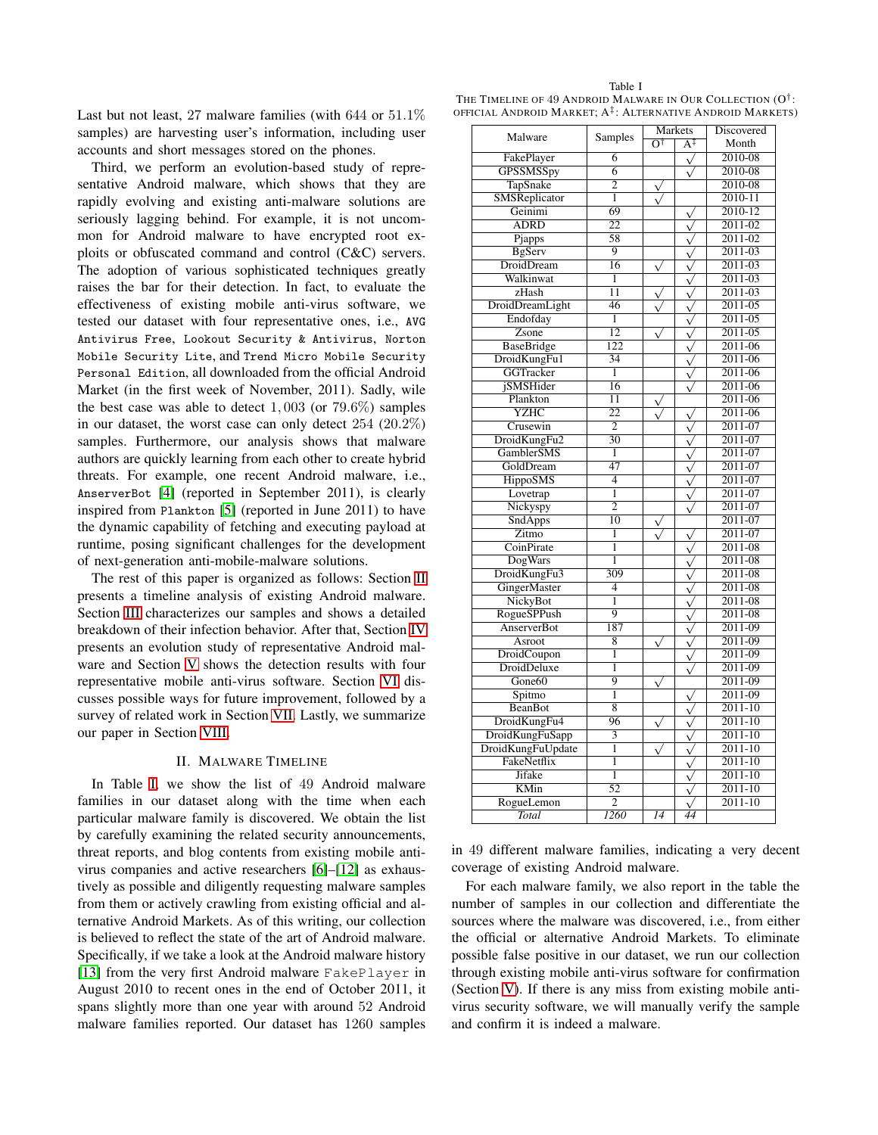Last but not least, 27 malware families (with 644 or 51.1%) samples) are harvesting user's information, including user accounts and short messages stored on the phones.

Third, we perform an evolution-based study of representative Android malware, which shows that they are rapidly evolving and existing anti-malware solutions are seriously lagging behind. For example, it is not uncommon for Android malware to have encrypted root exploits or obfuscated command and control (C&C) servers. The adoption of various sophisticated techniques greatly raises the bar for their detection. In fact, to evaluate the effectiveness of existing mobile anti-virus software, we tested our dataset with four representative ones, i.e., AVG Antivirus Free, Lookout Security & Antivirus, Norton Mobile Security Lite, and Trend Micro Mobile Security Personal Edition, all downloaded from the official Android Market (in the first week of November, 2011). Sadly, wile the best case was able to detect  $1,003$  (or  $79.6\%$ ) samples in our dataset, the worst case can only detect <sup>254</sup> (20.2%) samples. Furthermore, our analysis shows that malware authors are quickly learning from each other to create hybrid threats. For example, one recent Android malware, i.e., AnserverBot [\[4\]](#page-13-3) (reported in September 2011), is clearly inspired from Plankton [\[5\]](#page-13-4) (reported in June 2011) to have the dynamic capability of fetching and executing payload at runtime, posing significant challenges for the development of next-generation anti-mobile-malware solutions.

The rest of this paper is organized as follows: Section [II](#page-1-0) presents a timeline analysis of existing Android malware. Section [III](#page-2-0) characterizes our samples and shows a detailed breakdown of their infection behavior. After that, Section [IV](#page-9-0) presents an evolution study of representative Android malware and Section [V](#page-10-0) shows the detection results with four representative mobile anti-virus software. Section [VI](#page-11-0) discusses possible ways for future improvement, followed by a survey of related work in Section [VII.](#page-12-0) Lastly, we summarize our paper in Section [VIII.](#page-12-1)

## II. MALWARE TIMELINE

<span id="page-1-0"></span>In Table [I,](#page-1-1) we show the list of 49 Android malware families in our dataset along with the time when each particular malware family is discovered. We obtain the list by carefully examining the related security announcements, threat reports, and blog contents from existing mobile antivirus companies and active researchers [\[6\]](#page-13-5)–[\[12\]](#page-13-6) as exhaustively as possible and diligently requesting malware samples from them or actively crawling from existing official and alternative Android Markets. As of this writing, our collection is believed to reflect the state of the art of Android malware. Specifically, if we take a look at the Android malware history [\[13\]](#page-13-7) from the very first Android malware FakePlayer in August 2010 to recent ones in the end of October 2011, it spans slightly more than one year with around 52 Android malware families reported. Our dataset has 1260 samples

<span id="page-1-1"></span>

| Table I                                                                |
|------------------------------------------------------------------------|
| THE TIMELINE OF 49 ANDROID MALWARE IN OUR COLLECTION $(0^{\dagger})$ : |
| OFFICIAL ANDROID MARKET; A <sup>‡</sup> : ALTERNATIVE ANDROID MARKETS) |

| ΩŤ<br>Month<br>ΑŦ<br>FakePlayer<br>2010-08<br>6<br><b>GPSSMSSpy</b><br>2010-08<br>6<br>TapSnake<br>$\overline{2}$<br>2010-08<br>SMSReplicator<br>ī<br>$2010 - 11$<br>Geinimi<br>69<br>2010-12<br><b>ADRD</b><br>22<br>2011-02<br>$\sqrt{}$<br>Pjapps<br>58<br>2011-02<br>$\sqrt{}$<br>BgServ<br>$\overline{9}$<br>2011-03<br>$\sqrt{ }$<br>DroidDream<br>16<br>2011-03<br>Ń<br>Walkinwat<br>2011-03<br>$\overline{1}$<br>$\sqrt{}$<br>$\overline{11}$<br>2011-03<br>zHash<br>$\mathbf{v}$<br>DroidDreamLight<br>46<br>$2011 - 05$<br>$\sqrt{}$<br>Endofday<br>$\overline{1}$<br>$2011 - 05$<br>$\sqrt{2}$<br>$\overline{12}$<br>Zsone<br>$2011 - 05$<br>$\sqrt{2}$<br><b>BaseBridge</b><br>122<br>2011-06<br>$\sqrt{2}$<br>DroidKungFu1<br>2011-06<br>34<br>GGTracker<br>ī<br>2011-06<br>Ź<br>jSMSHider<br>$\overline{16}$<br>$\overline{2011-06}$<br>Plankton<br>$\overline{11}$<br>$\overline{2011-06}$<br>YZHC<br>$\overline{22}$<br>2011-06<br>$\overline{2}$<br>Crusewin<br>$\overline{2011-07}$<br>$\sqrt{}$<br>DroidKungFu2<br>$\overline{30}$<br>2011-07<br>$\sqrt{}$<br><b>GamblerSMS</b><br>$2011 - 07$<br>ī<br>$\sqrt{}$<br>GoldDream<br>47<br>2011-07<br>$\sqrt{ }$<br>$\overline{4}$<br>2011-07<br><b>HippoSMS</b><br>$\sqrt{ }$<br>$\overline{1}$<br>Lovetrap<br>2011-07<br>$\sqrt{2}$<br>Nickyspy<br>$\overline{2}$<br>2011-07<br>SndApps<br>2011-07<br>$\overline{10}$<br>2011-07<br>Zitmo<br>1<br>$2011 - 08$<br>CoinPirate<br>ī<br>Ź<br><b>DogWars</b><br>ī<br>2011-08<br>$\sqrt{}$<br>309<br>DroidKungFu3<br>$\overline{2011-08}$<br>$\sqrt{ }$<br>GingerMaster<br>$\overline{4}$<br>2011-08<br>$\sqrt{2}$<br>NickyBot<br>ī<br>2011-08<br>$\sqrt{2}$<br><b>RogueSPPush</b><br>$\overline{9}$<br>2011-08<br>j<br>AnserverBot<br>187<br>2011-09<br>$\sqrt{2}$<br>Asroot<br>$\overline{2011-09}$<br>8<br>DroidCoupon<br>2011-09<br>1<br>DroidDeluxe<br>2011-09<br>ī<br>Gone <sub>60</sub><br>9<br>2011-09<br>2011-09<br>Spitmo<br>ī<br>8<br><b>BeanBot</b><br>$2011 - 10$<br>DroidKungFu4<br>96<br>$2011 - 10$<br>$\sqrt{2}$<br>DroidKungFuSapp<br>2011-10<br>3<br>DroidKungFuUpdate<br>$2011 - 10$<br>ī<br>FakeNetflix<br>$2011 - 10$<br>1<br><b>Jifake</b><br>ī<br>$2011 - 10$<br>Ź<br>KMin<br>$\overline{52}$<br>$2011 - 10$<br>RogueLemon<br>$2011 - 10$<br>$\overline{2}$ |         |         |    | <b>Markets</b> | <b>Discovered</b> |
|------------------------------------------------------------------------------------------------------------------------------------------------------------------------------------------------------------------------------------------------------------------------------------------------------------------------------------------------------------------------------------------------------------------------------------------------------------------------------------------------------------------------------------------------------------------------------------------------------------------------------------------------------------------------------------------------------------------------------------------------------------------------------------------------------------------------------------------------------------------------------------------------------------------------------------------------------------------------------------------------------------------------------------------------------------------------------------------------------------------------------------------------------------------------------------------------------------------------------------------------------------------------------------------------------------------------------------------------------------------------------------------------------------------------------------------------------------------------------------------------------------------------------------------------------------------------------------------------------------------------------------------------------------------------------------------------------------------------------------------------------------------------------------------------------------------------------------------------------------------------------------------------------------------------------------------------------------------------------------------------------------------------------------------------------------------------------------------------------------------------------------------------------------------------------------------------------------------------------------------------------------------------------------------------|---------|---------|----|----------------|-------------------|
|                                                                                                                                                                                                                                                                                                                                                                                                                                                                                                                                                                                                                                                                                                                                                                                                                                                                                                                                                                                                                                                                                                                                                                                                                                                                                                                                                                                                                                                                                                                                                                                                                                                                                                                                                                                                                                                                                                                                                                                                                                                                                                                                                                                                                                                                                                | Malware | Samples |    |                |                   |
|                                                                                                                                                                                                                                                                                                                                                                                                                                                                                                                                                                                                                                                                                                                                                                                                                                                                                                                                                                                                                                                                                                                                                                                                                                                                                                                                                                                                                                                                                                                                                                                                                                                                                                                                                                                                                                                                                                                                                                                                                                                                                                                                                                                                                                                                                                |         |         |    |                |                   |
|                                                                                                                                                                                                                                                                                                                                                                                                                                                                                                                                                                                                                                                                                                                                                                                                                                                                                                                                                                                                                                                                                                                                                                                                                                                                                                                                                                                                                                                                                                                                                                                                                                                                                                                                                                                                                                                                                                                                                                                                                                                                                                                                                                                                                                                                                                |         |         |    |                |                   |
|                                                                                                                                                                                                                                                                                                                                                                                                                                                                                                                                                                                                                                                                                                                                                                                                                                                                                                                                                                                                                                                                                                                                                                                                                                                                                                                                                                                                                                                                                                                                                                                                                                                                                                                                                                                                                                                                                                                                                                                                                                                                                                                                                                                                                                                                                                |         |         |    |                |                   |
|                                                                                                                                                                                                                                                                                                                                                                                                                                                                                                                                                                                                                                                                                                                                                                                                                                                                                                                                                                                                                                                                                                                                                                                                                                                                                                                                                                                                                                                                                                                                                                                                                                                                                                                                                                                                                                                                                                                                                                                                                                                                                                                                                                                                                                                                                                |         |         |    |                |                   |
|                                                                                                                                                                                                                                                                                                                                                                                                                                                                                                                                                                                                                                                                                                                                                                                                                                                                                                                                                                                                                                                                                                                                                                                                                                                                                                                                                                                                                                                                                                                                                                                                                                                                                                                                                                                                                                                                                                                                                                                                                                                                                                                                                                                                                                                                                                |         |         |    |                |                   |
|                                                                                                                                                                                                                                                                                                                                                                                                                                                                                                                                                                                                                                                                                                                                                                                                                                                                                                                                                                                                                                                                                                                                                                                                                                                                                                                                                                                                                                                                                                                                                                                                                                                                                                                                                                                                                                                                                                                                                                                                                                                                                                                                                                                                                                                                                                |         |         |    |                |                   |
|                                                                                                                                                                                                                                                                                                                                                                                                                                                                                                                                                                                                                                                                                                                                                                                                                                                                                                                                                                                                                                                                                                                                                                                                                                                                                                                                                                                                                                                                                                                                                                                                                                                                                                                                                                                                                                                                                                                                                                                                                                                                                                                                                                                                                                                                                                |         |         |    |                |                   |
|                                                                                                                                                                                                                                                                                                                                                                                                                                                                                                                                                                                                                                                                                                                                                                                                                                                                                                                                                                                                                                                                                                                                                                                                                                                                                                                                                                                                                                                                                                                                                                                                                                                                                                                                                                                                                                                                                                                                                                                                                                                                                                                                                                                                                                                                                                |         |         |    |                |                   |
|                                                                                                                                                                                                                                                                                                                                                                                                                                                                                                                                                                                                                                                                                                                                                                                                                                                                                                                                                                                                                                                                                                                                                                                                                                                                                                                                                                                                                                                                                                                                                                                                                                                                                                                                                                                                                                                                                                                                                                                                                                                                                                                                                                                                                                                                                                |         |         |    |                |                   |
|                                                                                                                                                                                                                                                                                                                                                                                                                                                                                                                                                                                                                                                                                                                                                                                                                                                                                                                                                                                                                                                                                                                                                                                                                                                                                                                                                                                                                                                                                                                                                                                                                                                                                                                                                                                                                                                                                                                                                                                                                                                                                                                                                                                                                                                                                                |         |         |    |                |                   |
|                                                                                                                                                                                                                                                                                                                                                                                                                                                                                                                                                                                                                                                                                                                                                                                                                                                                                                                                                                                                                                                                                                                                                                                                                                                                                                                                                                                                                                                                                                                                                                                                                                                                                                                                                                                                                                                                                                                                                                                                                                                                                                                                                                                                                                                                                                |         |         |    |                |                   |
|                                                                                                                                                                                                                                                                                                                                                                                                                                                                                                                                                                                                                                                                                                                                                                                                                                                                                                                                                                                                                                                                                                                                                                                                                                                                                                                                                                                                                                                                                                                                                                                                                                                                                                                                                                                                                                                                                                                                                                                                                                                                                                                                                                                                                                                                                                |         |         |    |                |                   |
|                                                                                                                                                                                                                                                                                                                                                                                                                                                                                                                                                                                                                                                                                                                                                                                                                                                                                                                                                                                                                                                                                                                                                                                                                                                                                                                                                                                                                                                                                                                                                                                                                                                                                                                                                                                                                                                                                                                                                                                                                                                                                                                                                                                                                                                                                                |         |         |    |                |                   |
|                                                                                                                                                                                                                                                                                                                                                                                                                                                                                                                                                                                                                                                                                                                                                                                                                                                                                                                                                                                                                                                                                                                                                                                                                                                                                                                                                                                                                                                                                                                                                                                                                                                                                                                                                                                                                                                                                                                                                                                                                                                                                                                                                                                                                                                                                                |         |         |    |                |                   |
|                                                                                                                                                                                                                                                                                                                                                                                                                                                                                                                                                                                                                                                                                                                                                                                                                                                                                                                                                                                                                                                                                                                                                                                                                                                                                                                                                                                                                                                                                                                                                                                                                                                                                                                                                                                                                                                                                                                                                                                                                                                                                                                                                                                                                                                                                                |         |         |    |                |                   |
|                                                                                                                                                                                                                                                                                                                                                                                                                                                                                                                                                                                                                                                                                                                                                                                                                                                                                                                                                                                                                                                                                                                                                                                                                                                                                                                                                                                                                                                                                                                                                                                                                                                                                                                                                                                                                                                                                                                                                                                                                                                                                                                                                                                                                                                                                                |         |         |    |                |                   |
|                                                                                                                                                                                                                                                                                                                                                                                                                                                                                                                                                                                                                                                                                                                                                                                                                                                                                                                                                                                                                                                                                                                                                                                                                                                                                                                                                                                                                                                                                                                                                                                                                                                                                                                                                                                                                                                                                                                                                                                                                                                                                                                                                                                                                                                                                                |         |         |    |                |                   |
|                                                                                                                                                                                                                                                                                                                                                                                                                                                                                                                                                                                                                                                                                                                                                                                                                                                                                                                                                                                                                                                                                                                                                                                                                                                                                                                                                                                                                                                                                                                                                                                                                                                                                                                                                                                                                                                                                                                                                                                                                                                                                                                                                                                                                                                                                                |         |         |    |                |                   |
|                                                                                                                                                                                                                                                                                                                                                                                                                                                                                                                                                                                                                                                                                                                                                                                                                                                                                                                                                                                                                                                                                                                                                                                                                                                                                                                                                                                                                                                                                                                                                                                                                                                                                                                                                                                                                                                                                                                                                                                                                                                                                                                                                                                                                                                                                                |         |         |    |                |                   |
|                                                                                                                                                                                                                                                                                                                                                                                                                                                                                                                                                                                                                                                                                                                                                                                                                                                                                                                                                                                                                                                                                                                                                                                                                                                                                                                                                                                                                                                                                                                                                                                                                                                                                                                                                                                                                                                                                                                                                                                                                                                                                                                                                                                                                                                                                                |         |         |    |                |                   |
|                                                                                                                                                                                                                                                                                                                                                                                                                                                                                                                                                                                                                                                                                                                                                                                                                                                                                                                                                                                                                                                                                                                                                                                                                                                                                                                                                                                                                                                                                                                                                                                                                                                                                                                                                                                                                                                                                                                                                                                                                                                                                                                                                                                                                                                                                                |         |         |    |                |                   |
|                                                                                                                                                                                                                                                                                                                                                                                                                                                                                                                                                                                                                                                                                                                                                                                                                                                                                                                                                                                                                                                                                                                                                                                                                                                                                                                                                                                                                                                                                                                                                                                                                                                                                                                                                                                                                                                                                                                                                                                                                                                                                                                                                                                                                                                                                                |         |         |    |                |                   |
|                                                                                                                                                                                                                                                                                                                                                                                                                                                                                                                                                                                                                                                                                                                                                                                                                                                                                                                                                                                                                                                                                                                                                                                                                                                                                                                                                                                                                                                                                                                                                                                                                                                                                                                                                                                                                                                                                                                                                                                                                                                                                                                                                                                                                                                                                                |         |         |    |                |                   |
|                                                                                                                                                                                                                                                                                                                                                                                                                                                                                                                                                                                                                                                                                                                                                                                                                                                                                                                                                                                                                                                                                                                                                                                                                                                                                                                                                                                                                                                                                                                                                                                                                                                                                                                                                                                                                                                                                                                                                                                                                                                                                                                                                                                                                                                                                                |         |         |    |                |                   |
|                                                                                                                                                                                                                                                                                                                                                                                                                                                                                                                                                                                                                                                                                                                                                                                                                                                                                                                                                                                                                                                                                                                                                                                                                                                                                                                                                                                                                                                                                                                                                                                                                                                                                                                                                                                                                                                                                                                                                                                                                                                                                                                                                                                                                                                                                                |         |         |    |                |                   |
|                                                                                                                                                                                                                                                                                                                                                                                                                                                                                                                                                                                                                                                                                                                                                                                                                                                                                                                                                                                                                                                                                                                                                                                                                                                                                                                                                                                                                                                                                                                                                                                                                                                                                                                                                                                                                                                                                                                                                                                                                                                                                                                                                                                                                                                                                                |         |         |    |                |                   |
|                                                                                                                                                                                                                                                                                                                                                                                                                                                                                                                                                                                                                                                                                                                                                                                                                                                                                                                                                                                                                                                                                                                                                                                                                                                                                                                                                                                                                                                                                                                                                                                                                                                                                                                                                                                                                                                                                                                                                                                                                                                                                                                                                                                                                                                                                                |         |         |    |                |                   |
|                                                                                                                                                                                                                                                                                                                                                                                                                                                                                                                                                                                                                                                                                                                                                                                                                                                                                                                                                                                                                                                                                                                                                                                                                                                                                                                                                                                                                                                                                                                                                                                                                                                                                                                                                                                                                                                                                                                                                                                                                                                                                                                                                                                                                                                                                                |         |         |    |                |                   |
|                                                                                                                                                                                                                                                                                                                                                                                                                                                                                                                                                                                                                                                                                                                                                                                                                                                                                                                                                                                                                                                                                                                                                                                                                                                                                                                                                                                                                                                                                                                                                                                                                                                                                                                                                                                                                                                                                                                                                                                                                                                                                                                                                                                                                                                                                                |         |         |    |                |                   |
|                                                                                                                                                                                                                                                                                                                                                                                                                                                                                                                                                                                                                                                                                                                                                                                                                                                                                                                                                                                                                                                                                                                                                                                                                                                                                                                                                                                                                                                                                                                                                                                                                                                                                                                                                                                                                                                                                                                                                                                                                                                                                                                                                                                                                                                                                                |         |         |    |                |                   |
|                                                                                                                                                                                                                                                                                                                                                                                                                                                                                                                                                                                                                                                                                                                                                                                                                                                                                                                                                                                                                                                                                                                                                                                                                                                                                                                                                                                                                                                                                                                                                                                                                                                                                                                                                                                                                                                                                                                                                                                                                                                                                                                                                                                                                                                                                                |         |         |    |                |                   |
|                                                                                                                                                                                                                                                                                                                                                                                                                                                                                                                                                                                                                                                                                                                                                                                                                                                                                                                                                                                                                                                                                                                                                                                                                                                                                                                                                                                                                                                                                                                                                                                                                                                                                                                                                                                                                                                                                                                                                                                                                                                                                                                                                                                                                                                                                                |         |         |    |                |                   |
|                                                                                                                                                                                                                                                                                                                                                                                                                                                                                                                                                                                                                                                                                                                                                                                                                                                                                                                                                                                                                                                                                                                                                                                                                                                                                                                                                                                                                                                                                                                                                                                                                                                                                                                                                                                                                                                                                                                                                                                                                                                                                                                                                                                                                                                                                                |         |         |    |                |                   |
|                                                                                                                                                                                                                                                                                                                                                                                                                                                                                                                                                                                                                                                                                                                                                                                                                                                                                                                                                                                                                                                                                                                                                                                                                                                                                                                                                                                                                                                                                                                                                                                                                                                                                                                                                                                                                                                                                                                                                                                                                                                                                                                                                                                                                                                                                                |         |         |    |                |                   |
|                                                                                                                                                                                                                                                                                                                                                                                                                                                                                                                                                                                                                                                                                                                                                                                                                                                                                                                                                                                                                                                                                                                                                                                                                                                                                                                                                                                                                                                                                                                                                                                                                                                                                                                                                                                                                                                                                                                                                                                                                                                                                                                                                                                                                                                                                                |         |         |    |                |                   |
|                                                                                                                                                                                                                                                                                                                                                                                                                                                                                                                                                                                                                                                                                                                                                                                                                                                                                                                                                                                                                                                                                                                                                                                                                                                                                                                                                                                                                                                                                                                                                                                                                                                                                                                                                                                                                                                                                                                                                                                                                                                                                                                                                                                                                                                                                                |         |         |    |                |                   |
|                                                                                                                                                                                                                                                                                                                                                                                                                                                                                                                                                                                                                                                                                                                                                                                                                                                                                                                                                                                                                                                                                                                                                                                                                                                                                                                                                                                                                                                                                                                                                                                                                                                                                                                                                                                                                                                                                                                                                                                                                                                                                                                                                                                                                                                                                                |         |         |    |                |                   |
|                                                                                                                                                                                                                                                                                                                                                                                                                                                                                                                                                                                                                                                                                                                                                                                                                                                                                                                                                                                                                                                                                                                                                                                                                                                                                                                                                                                                                                                                                                                                                                                                                                                                                                                                                                                                                                                                                                                                                                                                                                                                                                                                                                                                                                                                                                |         |         |    |                |                   |
|                                                                                                                                                                                                                                                                                                                                                                                                                                                                                                                                                                                                                                                                                                                                                                                                                                                                                                                                                                                                                                                                                                                                                                                                                                                                                                                                                                                                                                                                                                                                                                                                                                                                                                                                                                                                                                                                                                                                                                                                                                                                                                                                                                                                                                                                                                |         |         |    |                |                   |
|                                                                                                                                                                                                                                                                                                                                                                                                                                                                                                                                                                                                                                                                                                                                                                                                                                                                                                                                                                                                                                                                                                                                                                                                                                                                                                                                                                                                                                                                                                                                                                                                                                                                                                                                                                                                                                                                                                                                                                                                                                                                                                                                                                                                                                                                                                |         |         |    |                |                   |
|                                                                                                                                                                                                                                                                                                                                                                                                                                                                                                                                                                                                                                                                                                                                                                                                                                                                                                                                                                                                                                                                                                                                                                                                                                                                                                                                                                                                                                                                                                                                                                                                                                                                                                                                                                                                                                                                                                                                                                                                                                                                                                                                                                                                                                                                                                |         |         |    |                |                   |
|                                                                                                                                                                                                                                                                                                                                                                                                                                                                                                                                                                                                                                                                                                                                                                                                                                                                                                                                                                                                                                                                                                                                                                                                                                                                                                                                                                                                                                                                                                                                                                                                                                                                                                                                                                                                                                                                                                                                                                                                                                                                                                                                                                                                                                                                                                |         |         |    |                |                   |
|                                                                                                                                                                                                                                                                                                                                                                                                                                                                                                                                                                                                                                                                                                                                                                                                                                                                                                                                                                                                                                                                                                                                                                                                                                                                                                                                                                                                                                                                                                                                                                                                                                                                                                                                                                                                                                                                                                                                                                                                                                                                                                                                                                                                                                                                                                |         |         |    |                |                   |
|                                                                                                                                                                                                                                                                                                                                                                                                                                                                                                                                                                                                                                                                                                                                                                                                                                                                                                                                                                                                                                                                                                                                                                                                                                                                                                                                                                                                                                                                                                                                                                                                                                                                                                                                                                                                                                                                                                                                                                                                                                                                                                                                                                                                                                                                                                |         |         |    |                |                   |
|                                                                                                                                                                                                                                                                                                                                                                                                                                                                                                                                                                                                                                                                                                                                                                                                                                                                                                                                                                                                                                                                                                                                                                                                                                                                                                                                                                                                                                                                                                                                                                                                                                                                                                                                                                                                                                                                                                                                                                                                                                                                                                                                                                                                                                                                                                |         |         |    |                |                   |
|                                                                                                                                                                                                                                                                                                                                                                                                                                                                                                                                                                                                                                                                                                                                                                                                                                                                                                                                                                                                                                                                                                                                                                                                                                                                                                                                                                                                                                                                                                                                                                                                                                                                                                                                                                                                                                                                                                                                                                                                                                                                                                                                                                                                                                                                                                |         |         |    |                |                   |
|                                                                                                                                                                                                                                                                                                                                                                                                                                                                                                                                                                                                                                                                                                                                                                                                                                                                                                                                                                                                                                                                                                                                                                                                                                                                                                                                                                                                                                                                                                                                                                                                                                                                                                                                                                                                                                                                                                                                                                                                                                                                                                                                                                                                                                                                                                |         |         |    |                |                   |
|                                                                                                                                                                                                                                                                                                                                                                                                                                                                                                                                                                                                                                                                                                                                                                                                                                                                                                                                                                                                                                                                                                                                                                                                                                                                                                                                                                                                                                                                                                                                                                                                                                                                                                                                                                                                                                                                                                                                                                                                                                                                                                                                                                                                                                                                                                |         |         |    |                |                   |
|                                                                                                                                                                                                                                                                                                                                                                                                                                                                                                                                                                                                                                                                                                                                                                                                                                                                                                                                                                                                                                                                                                                                                                                                                                                                                                                                                                                                                                                                                                                                                                                                                                                                                                                                                                                                                                                                                                                                                                                                                                                                                                                                                                                                                                                                                                |         |         |    |                |                   |
|                                                                                                                                                                                                                                                                                                                                                                                                                                                                                                                                                                                                                                                                                                                                                                                                                                                                                                                                                                                                                                                                                                                                                                                                                                                                                                                                                                                                                                                                                                                                                                                                                                                                                                                                                                                                                                                                                                                                                                                                                                                                                                                                                                                                                                                                                                |         |         |    |                |                   |
|                                                                                                                                                                                                                                                                                                                                                                                                                                                                                                                                                                                                                                                                                                                                                                                                                                                                                                                                                                                                                                                                                                                                                                                                                                                                                                                                                                                                                                                                                                                                                                                                                                                                                                                                                                                                                                                                                                                                                                                                                                                                                                                                                                                                                                                                                                | Total   | 1260    | 14 | 44             |                   |

in 49 different malware families, indicating a very decent coverage of existing Android malware.

For each malware family, we also report in the table the number of samples in our collection and differentiate the sources where the malware was discovered, i.e., from either the official or alternative Android Markets. To eliminate possible false positive in our dataset, we run our collection through existing mobile anti-virus software for confirmation (Section [V\)](#page-10-0). If there is any miss from existing mobile antivirus security software, we will manually verify the sample and confirm it is indeed a malware.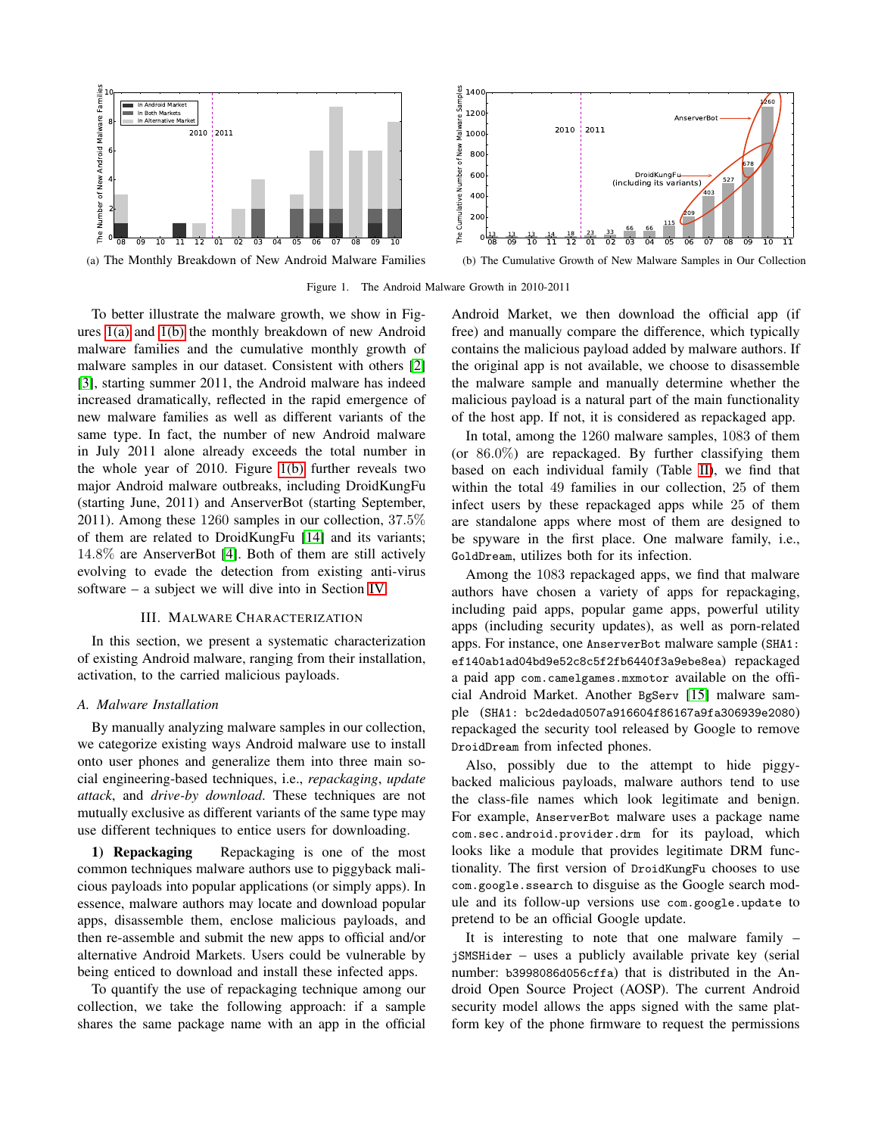<span id="page-2-1"></span>



(a) The Monthly Breakdown of New Android Malware Families

<span id="page-2-2"></span>(b) The Cumulative Growth of New Malware Samples in Our Collection

Figure 1. The Android Malware Growth in 2010-2011

To better illustrate the malware growth, we show in Figures [1\(a\)](#page-2-1) and [1\(b\)](#page-2-2) the monthly breakdown of new Android malware families and the cumulative monthly growth of malware samples in our dataset. Consistent with others [\[2\]](#page-13-1) [\[3\]](#page-13-2), starting summer 2011, the Android malware has indeed increased dramatically, reflected in the rapid emergence of new malware families as well as different variants of the same type. In fact, the number of new Android malware in July 2011 alone already exceeds the total number in the whole year of 2010. Figure [1\(b\)](#page-2-2) further reveals two major Android malware outbreaks, including DroidKungFu (starting June, 2011) and AnserverBot (starting September, 2011). Among these <sup>1260</sup> samples in our collection, <sup>37</sup>.5% of them are related to DroidKungFu [\[14\]](#page-13-8) and its variants; <sup>14</sup>.8% are AnserverBot [\[4\]](#page-13-3). Both of them are still actively evolving to evade the detection from existing anti-virus software – a subject we will dive into in Section [IV.](#page-9-0)

## III. MALWARE CHARACTERIZATION

<span id="page-2-0"></span>In this section, we present a systematic characterization of existing Android malware, ranging from their installation, activation, to the carried malicious payloads.

#### *A. Malware Installation*

By manually analyzing malware samples in our collection, we categorize existing ways Android malware use to install onto user phones and generalize them into three main social engineering-based techniques, i.e., *repackaging*, *update attack*, and *drive-by download*. These techniques are not mutually exclusive as different variants of the same type may use different techniques to entice users for downloading.

1) Repackaging Repackaging is one of the most common techniques malware authors use to piggyback malicious payloads into popular applications (or simply apps). In essence, malware authors may locate and download popular apps, disassemble them, enclose malicious payloads, and then re-assemble and submit the new apps to official and/or alternative Android Markets. Users could be vulnerable by being enticed to download and install these infected apps.

To quantify the use of repackaging technique among our collection, we take the following approach: if a sample shares the same package name with an app in the official Android Market, we then download the official app (if free) and manually compare the difference, which typically contains the malicious payload added by malware authors. If the original app is not available, we choose to disassemble the malware sample and manually determine whether the malicious payload is a natural part of the main functionality of the host app. If not, it is considered as repackaged app.

In total, among the 1260 malware samples, 1083 of them (or  $86.0\%$ ) are repackaged. By further classifying them based on each individual family (Table [II\)](#page-3-0), we find that within the total 49 families in our collection, 25 of them infect users by these repackaged apps while 25 of them are standalone apps where most of them are designed to be spyware in the first place. One malware family, i.e., GoldDream, utilizes both for its infection.

Among the 1083 repackaged apps, we find that malware authors have chosen a variety of apps for repackaging, including paid apps, popular game apps, powerful utility apps (including security updates), as well as porn-related apps. For instance, one AnserverBot malware sample (SHA1: ef140ab1ad04bd9e52c8c5f2fb6440f3a9ebe8ea) repackaged a paid app com.camelgames.mxmotor available on the official Android Market. Another BgServ [\[15\]](#page-13-9) malware sample (SHA1: bc2dedad0507a916604f86167a9fa306939e2080) repackaged the security tool released by Google to remove DroidDream from infected phones.

Also, possibly due to the attempt to hide piggybacked malicious payloads, malware authors tend to use the class-file names which look legitimate and benign. For example, AnserverBot malware uses a package name com.sec.android.provider.drm for its payload, which looks like a module that provides legitimate DRM functionality. The first version of DroidKungFu chooses to use com.google.ssearch to disguise as the Google search module and its follow-up versions use com.google.update to pretend to be an official Google update.

It is interesting to note that one malware family – jSMSHider – uses a publicly available private key (serial number: b3998086d056cffa) that is distributed in the Android Open Source Project (AOSP). The current Android security model allows the apps signed with the same platform key of the phone firmware to request the permissions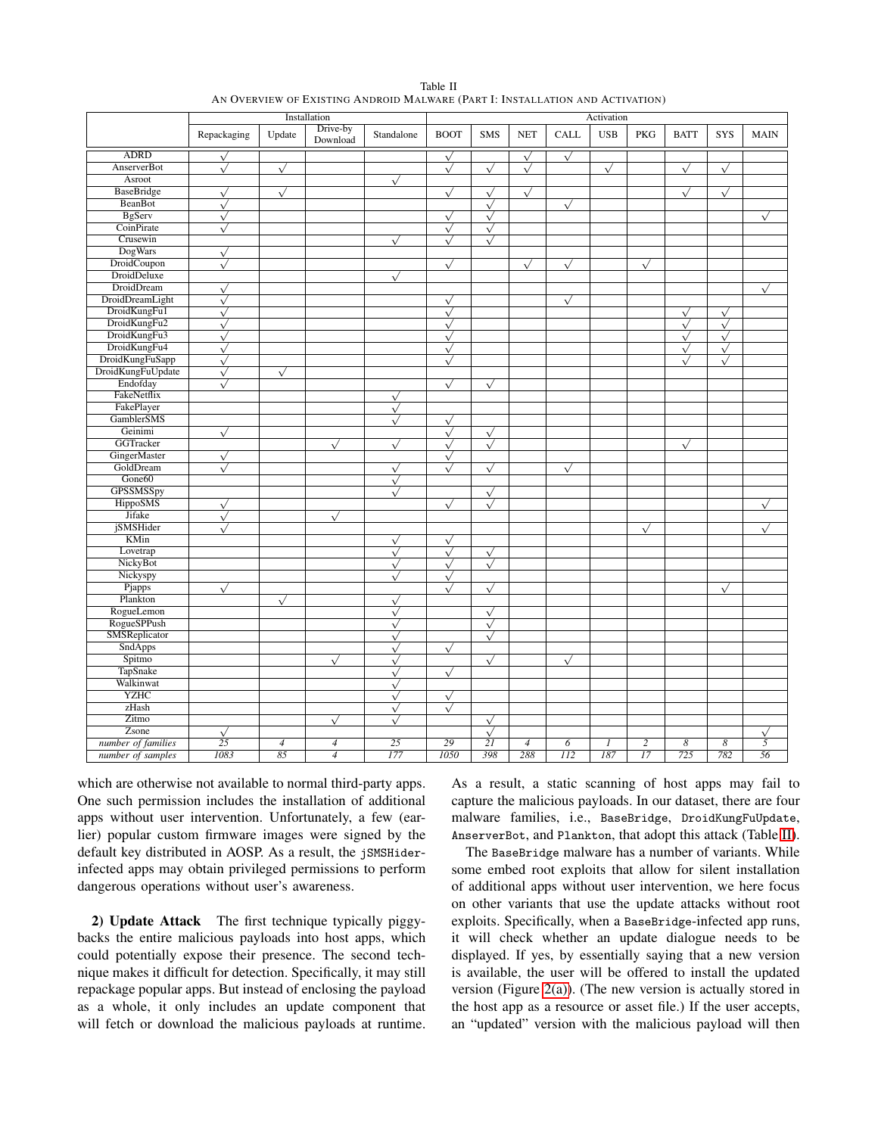<span id="page-3-0"></span>

|                    |                 |                | Installation         |                 |              |                 |                |                  | Activation     |                 |                |                          |                |
|--------------------|-----------------|----------------|----------------------|-----------------|--------------|-----------------|----------------|------------------|----------------|-----------------|----------------|--------------------------|----------------|
|                    | Repackaging     | Update         | Drive-by<br>Download | Standalone      | <b>BOOT</b>  | <b>SMS</b>      | <b>NET</b>     | <b>CALL</b>      | <b>USB</b>     | <b>PKG</b>      | <b>BATT</b>    | <b>SYS</b>               | <b>MAIN</b>    |
| <b>ADRD</b>        | $\sqrt{}$       |                |                      |                 | $\sqrt{}$    |                 | $\sqrt{}$      | $\sqrt{}$        |                |                 |                |                          |                |
| AnserverBot        | $\sqrt{}$       | $\sqrt{}$      |                      |                 | $\sqrt{}$    | $\sqrt{}$       | $\sqrt{}$      |                  | $\sqrt{}$      |                 | $\sqrt{}$      | $\sqrt{}$                |                |
| Asroot             |                 |                |                      | $\checkmark$    |              |                 |                |                  |                |                 |                |                          |                |
| <b>BaseBridge</b>  | $\sqrt{}$       | $\sqrt{}$      |                      |                 | $\sqrt{}$    | $\sqrt{}$       | $\sqrt{}$      |                  |                |                 | $\sqrt{}$      | $\sqrt{}$                |                |
| <b>BeanBot</b>     | $\sqrt{}$       |                |                      |                 |              | $\sqrt{}$       |                | $\sqrt{}$        |                |                 |                |                          |                |
| <b>BgServ</b>      | $\sqrt{}$       |                |                      |                 | $\sqrt{}$    | $\sqrt{}$       |                |                  |                |                 |                |                          | $\sqrt{}$      |
| CoinPirate         | $\sqrt{ }$      |                |                      |                 | $\sqrt{}$    | $\sqrt{}$       |                |                  |                |                 |                |                          |                |
| Crusewin           |                 |                |                      | $\sqrt{}$       | $\checkmark$ | $\sqrt{}$       |                |                  |                |                 |                |                          |                |
| <b>DogWars</b>     | $\sqrt{}$       |                |                      |                 |              |                 |                |                  |                |                 |                |                          |                |
| DroidCoupon        | $\checkmark$    |                |                      |                 | $\sqrt{}$    |                 | $\sqrt{}$      | $\sqrt{}$        |                | $\sqrt{}$       |                |                          |                |
| DroidDeluxe        |                 |                |                      | $\checkmark$    |              |                 |                |                  |                |                 |                |                          |                |
| DroidDream         | $\sqrt{}$       |                |                      |                 |              |                 |                |                  |                |                 |                |                          | $\sqrt{}$      |
| DroidDreamLight    | $\sqrt{}$       |                |                      |                 | $\sqrt{}$    |                 |                | $\sqrt{}$        |                |                 |                |                          |                |
| DroidKungFu1       | $\sqrt{}$       |                |                      |                 | $\sqrt{}$    |                 |                |                  |                |                 | $\sqrt{}$      | $\sqrt{}$                |                |
| DroidKungFu2       | $\sqrt{}$       |                |                      |                 | $\sqrt{}$    |                 |                |                  |                |                 | $\sqrt{}$      | $\sqrt{}$                |                |
| DroidKungFu3       | $\sqrt{}$       |                |                      |                 | $\sqrt{}$    |                 |                |                  |                |                 | $\sqrt{}$      | $\sqrt{}$                |                |
| DroidKungFu4       | $\sqrt{}$       |                |                      |                 | $\sqrt{}$    |                 |                |                  |                |                 | $\sqrt{}$      | $\sqrt{}$                |                |
| DroidKungFuSapp    | $\sqrt{}$       |                |                      |                 | $\sqrt{}$    |                 |                |                  |                |                 |                | $\checkmark$             |                |
| DroidKungFuUpdate  | $\sqrt{}$       | $\sqrt{}$      |                      |                 |              |                 |                |                  |                |                 |                |                          |                |
| Endofday           | $\sqrt{}$       |                |                      |                 | $\sqrt{}$    | $\checkmark$    |                |                  |                |                 |                |                          |                |
| FakeNetflix        |                 |                |                      | $\sqrt{}$       |              |                 |                |                  |                |                 |                |                          |                |
| FakePlayer         |                 |                |                      | $\sqrt{}$       |              |                 |                |                  |                |                 |                |                          |                |
| <b>GamblerSMS</b>  |                 |                |                      | $\sqrt{}$       | $\sqrt{}$    |                 |                |                  |                |                 |                |                          |                |
| Geinimi            | $\sqrt{}$       |                |                      |                 | $\sqrt{}$    | $\sqrt{}$       |                |                  |                |                 |                |                          |                |
| GGTracker          |                 |                | $\sqrt{}$            | $\sqrt{}$       | $\sqrt{}$    | $\sqrt{}$       |                |                  |                |                 | $\sqrt{}$      |                          |                |
| GingerMaster       | $\sqrt{}$       |                |                      |                 | $\sqrt{}$    |                 |                |                  |                |                 |                |                          |                |
| GoldDream          |                 |                |                      | $\sqrt{}$       | $\checkmark$ | $\sqrt{}$       |                | $\sqrt{}$        |                |                 |                |                          |                |
| Gone <sub>60</sub> |                 |                |                      | $\sqrt{}$       |              |                 |                |                  |                |                 |                |                          |                |
| <b>GPSSMSSpy</b>   |                 |                |                      |                 |              | $\sqrt{}$       |                |                  |                |                 |                |                          |                |
| HippoSMS           |                 |                |                      | $\sqrt{}$       | $\sqrt{}$    | $\sqrt{}$       |                |                  |                |                 |                |                          |                |
| Jifake             | $\sqrt{}$       |                | $\sqrt{}$            |                 |              |                 |                |                  |                |                 |                |                          | $\checkmark$   |
| jSMSHider          | $\sqrt{}$       |                |                      |                 |              |                 |                |                  |                |                 |                |                          | $\sqrt{}$      |
| <b>KMin</b>        | $\sqrt{ }$      |                |                      |                 |              |                 |                |                  |                | $\sqrt{}$       |                |                          |                |
| Lovetrap           |                 |                |                      | $\sqrt{}$       | $\sqrt{}$    |                 |                |                  |                |                 |                |                          |                |
| NickyBot           |                 |                |                      | $\sqrt{}$       | $\sqrt{}$    | $\sqrt{}$       |                |                  |                |                 |                |                          |                |
|                    |                 |                |                      | $\sqrt{}$       | $\sqrt{}$    | $\sqrt{}$       |                |                  |                |                 |                |                          |                |
| Nickyspy<br>Pjapps |                 |                |                      | $\sqrt{}$       | $\sqrt{}$    |                 |                |                  |                |                 |                |                          |                |
| Plankton           | $\checkmark$    |                |                      |                 | $\sqrt{}$    | $\checkmark$    |                |                  |                |                 |                | $\sqrt{}$                |                |
| RogueLemon         |                 | $\sqrt{}$      |                      | $\sqrt{}$       |              |                 |                |                  |                |                 |                |                          |                |
| RogueSPPush        |                 |                |                      | $\sqrt{}$       |              | $\sqrt{}$       |                |                  |                |                 |                |                          |                |
| SMSReplicator      |                 |                |                      | $\sqrt{}$       |              | $\sqrt{}$       |                |                  |                |                 |                |                          |                |
|                    |                 |                |                      | $\sqrt{}$       |              | $\checkmark$    |                |                  |                |                 |                |                          |                |
| SndApps            |                 |                |                      | $\sqrt{}$       | $\sqrt{}$    |                 |                |                  |                |                 |                |                          |                |
| Spitmo             |                 |                | $\sqrt{}$            | $\checkmark$    |              | $\sqrt{}$       |                | $\sqrt{}$        |                |                 |                |                          |                |
| TapSnake           |                 |                |                      | $\sqrt{}$       | $\sqrt{}$    |                 |                |                  |                |                 |                |                          |                |
| Walkinwat          |                 |                |                      | $\sqrt{}$       |              |                 |                |                  |                |                 |                |                          |                |
| <b>YZHC</b>        |                 |                |                      | $\sqrt{}$       | $\sqrt{}$    |                 |                |                  |                |                 |                |                          |                |
| zHash              |                 |                |                      | $\sqrt{}$       | $\sqrt{}$    |                 |                |                  |                |                 |                |                          |                |
| Zitmo              |                 |                | $\sqrt{}$            | $\sqrt{}$       |              | $\sqrt{}$       |                |                  |                |                 |                |                          |                |
| Zsone              | $\sqrt{}$       |                |                      |                 |              | $\sqrt{}$       |                |                  |                |                 |                |                          | $\sqrt{}$      |
| number of families | $\overline{25}$ | $\overline{4}$ | $\overline{4}$       | $\overline{25}$ | 29           | $\overline{21}$ | $\overline{4}$ | $\overline{6}$   | $\overline{I}$ | $\overline{2}$  | $\overline{s}$ | $\overline{\mathcal{S}}$ | $\overline{5}$ |
| number of samples  | 1083            | 85             | $\overline{4}$       | 177             | 1050         | 398             | 288            | $\overline{112}$ | 187            | $\overline{17}$ | 725            | 782                      | 56             |

Table II AN OVERVIEW OF EXISTING ANDROID MALWARE (PART I: INSTALLATION AND ACTIVATION)

which are otherwise not available to normal third-party apps. One such permission includes the installation of additional apps without user intervention. Unfortunately, a few (earlier) popular custom firmware images were signed by the default key distributed in AOSP. As a result, the jSMSHiderinfected apps may obtain privileged permissions to perform dangerous operations without user's awareness.

2) Update Attack The first technique typically piggybacks the entire malicious payloads into host apps, which could potentially expose their presence. The second technique makes it difficult for detection. Specifically, it may still repackage popular apps. But instead of enclosing the payload as a whole, it only includes an update component that will fetch or download the malicious payloads at runtime. As a result, a static scanning of host apps may fail to capture the malicious payloads. In our dataset, there are four malware families, i.e., BaseBridge, DroidKungFuUpdate, AnserverBot, and Plankton, that adopt this attack (Table [II\)](#page-3-0).

The BaseBridge malware has a number of variants. While some embed root exploits that allow for silent installation of additional apps without user intervention, we here focus on other variants that use the update attacks without root exploits. Specifically, when a BaseBridge-infected app runs, it will check whether an update dialogue needs to be displayed. If yes, by essentially saying that a new version is available, the user will be offered to install the updated version (Figure [2\(a\)\)](#page-4-0). (The new version is actually stored in the host app as a resource or asset file.) If the user accepts, an "updated" version with the malicious payload will then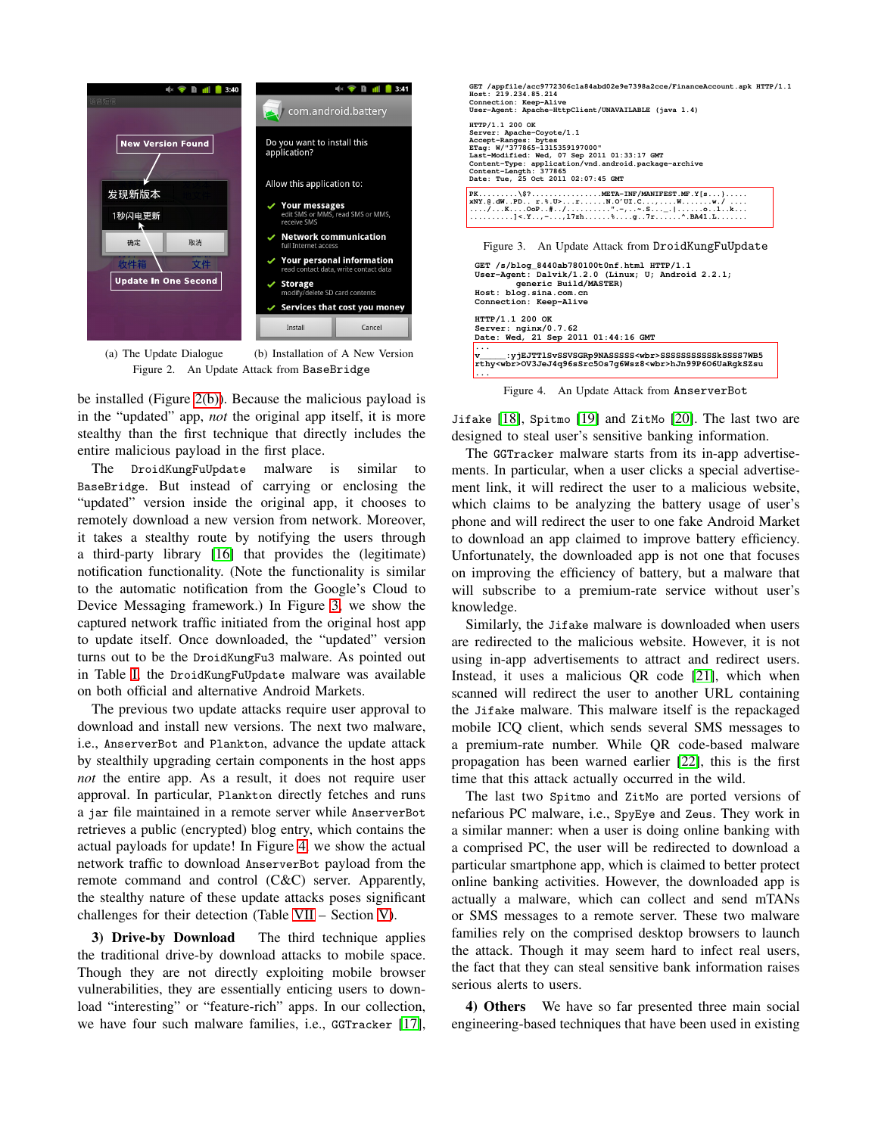<span id="page-4-0"></span>

<span id="page-4-1"></span>(a) The Update Dialogue (b) Installation of A New Version Figure 2. An Update Attack from BaseBridge

be installed (Figure [2\(b\)\)](#page-4-1). Because the malicious payload is in the "updated" app, *not* the original app itself, it is more stealthy than the first technique that directly includes the entire malicious payload in the first place.

The DroidKungFuUpdate malware is similar to BaseBridge. But instead of carrying or enclosing the "updated" version inside the original app, it chooses to remotely download a new version from network. Moreover, it takes a stealthy route by notifying the users through a third-party library [\[16\]](#page-13-10) that provides the (legitimate) notification functionality. (Note the functionality is similar to the automatic notification from the Google's Cloud to Device Messaging framework.) In Figure [3,](#page-4-2) we show the captured network traffic initiated from the original host app to update itself. Once downloaded, the "updated" version turns out to be the DroidKungFu3 malware. As pointed out in Table [I,](#page-1-1) the DroidKungFuUpdate malware was available on both official and alternative Android Markets.

The previous two update attacks require user approval to download and install new versions. The next two malware, i.e., AnserverBot and Plankton, advance the update attack by stealthily upgrading certain components in the host apps *not* the entire app. As a result, it does not require user approval. In particular, Plankton directly fetches and runs a jar file maintained in a remote server while AnserverBot retrieves a public (encrypted) blog entry, which contains the actual payloads for update! In Figure [4,](#page-4-3) we show the actual network traffic to download AnserverBot payload from the remote command and control (C&C) server. Apparently, the stealthy nature of these update attacks poses significant challenges for their detection (Table [VII](#page-11-1) – Section [V\)](#page-10-0).

3) Drive-by Download The third technique applies the traditional drive-by download attacks to mobile space. Though they are not directly exploiting mobile browser vulnerabilities, they are essentially enticing users to download "interesting" or "feature-rich" apps. In our collection, we have four such malware families, i.e., GGTracker [\[17\]](#page-13-11),

**GET /appfile/acc9772306c1a84abd02e9e7398a2cce/FinanceAccount.apk HTTP/1.1 Host: 219.234.85.214 Connection: Keep-Alive User-Agent: Apache-HttpClient/UNAVAILABLE (java 1.4) HTTP/1.1 200 OK** Server: Apache-Coyote/1.1<br>Accept-Ranges: bytes<br>ETag: W/"377865-1315359197000"<br>Last-Modified: Wed, 07 Sep 2011 01:33:17 GMT<br>Content-Type: application/vnd.android.package-archive<br>Content-Length: 377865<br>Date: Tue, 25 Oct 2011 **PK.........\\$?................META-INF/MANIFEST.MF.Y[s...}..... xNY.@.dW..PD.. r.%.U>...r......N.O'UI.C...,....W.......w./ .... ..../...K....OoP..#../..........".-,..~.S...\_.|......o..1..k... ..........]<.Y..,-...,l7zh......%....g..7r......^.BA41.L.......** Figure 3. An Update Attack from DroidKungFuUpdate  **GET /s/blog\_8440ab780100t0nf.html HTTP/1.1 User-Agent: Dalvik/1.2.0 (Linux; U; Android 2.2.1; generic Build/MASTER) Host: blog.sina.com.cn Connection: Keep-Alive HTTP/1.1 200 OK Server: nginx/0.7.62 Date: Wed, 21 Sep 2011 01:44:16 GMT ... v\_\_\_\_\_:yjEJTTlSvSSVSGRp9NASSSSS<wbr>SSSSSSSSSSSkSSSS7WB5 rthy<wbr>OV3JeJ4q96sSrc5Os7g6Wsz8<wbr>hJn99P6O6UaRgkSZsu ...**

<span id="page-4-3"></span><span id="page-4-2"></span>Figure 4. An Update Attack from AnserverBot

Jifake [\[18\]](#page-13-12), Spitmo [\[19\]](#page-13-13) and ZitMo [\[20\]](#page-13-14). The last two are designed to steal user's sensitive banking information.

The GGTracker malware starts from its in-app advertisements. In particular, when a user clicks a special advertisement link, it will redirect the user to a malicious website, which claims to be analyzing the battery usage of user's phone and will redirect the user to one fake Android Market to download an app claimed to improve battery efficiency. Unfortunately, the downloaded app is not one that focuses on improving the efficiency of battery, but a malware that will subscribe to a premium-rate service without user's knowledge.

Similarly, the Jifake malware is downloaded when users are redirected to the malicious website. However, it is not using in-app advertisements to attract and redirect users. Instead, it uses a malicious QR code [\[21\]](#page-13-15), which when scanned will redirect the user to another URL containing the Jifake malware. This malware itself is the repackaged mobile ICQ client, which sends several SMS messages to a premium-rate number. While QR code-based malware propagation has been warned earlier [\[22\]](#page-13-16), this is the first time that this attack actually occurred in the wild.

The last two Spitmo and ZitMo are ported versions of nefarious PC malware, i.e., SpyEye and Zeus. They work in a similar manner: when a user is doing online banking with a comprised PC, the user will be redirected to download a particular smartphone app, which is claimed to better protect online banking activities. However, the downloaded app is actually a malware, which can collect and send mTANs or SMS messages to a remote server. These two malware families rely on the comprised desktop browsers to launch the attack. Though it may seem hard to infect real users, the fact that they can steal sensitive bank information raises serious alerts to users.

4) Others We have so far presented three main social engineering-based techniques that have been used in existing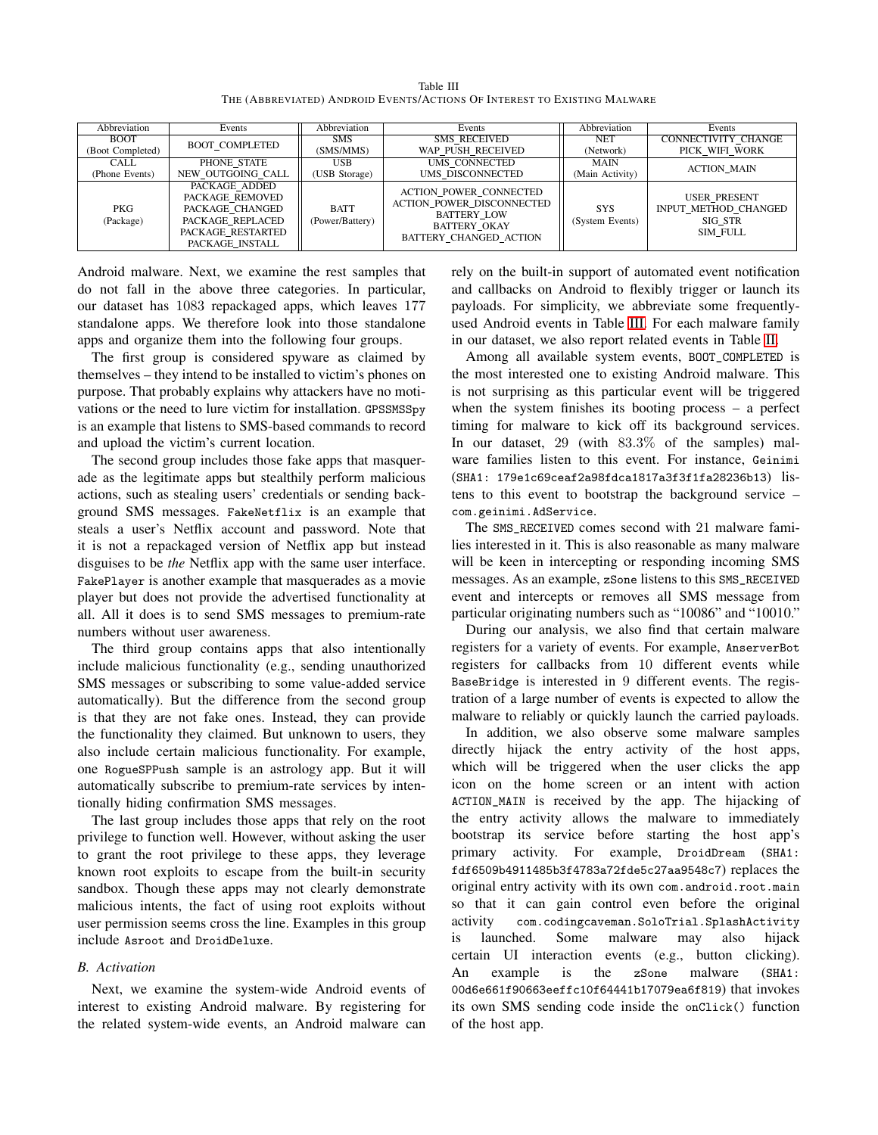Table III THE (ABBREVIATED) ANDROID EVENTS/ACTIONS OF INTEREST TO EXISTING MALWARE

<span id="page-5-0"></span>

| Abbreviation            | Abbreviation<br>Events                                                                                          |                                   | Events                                                                                                                            | Abbreviation                  | Events                                                      |  |
|-------------------------|-----------------------------------------------------------------------------------------------------------------|-----------------------------------|-----------------------------------------------------------------------------------------------------------------------------------|-------------------------------|-------------------------------------------------------------|--|
| <b>BOOT</b>             | <b>BOOT COMPLETED</b>                                                                                           | SMS.                              | <b>SMS RECEIVED</b>                                                                                                               | <b>NET</b>                    | CONNECTIVITY CHANGE                                         |  |
| (Boot Completed)        |                                                                                                                 | (SMS/MMS)                         | WAP PUSH RECEIVED                                                                                                                 | (Network)                     | PICK WIFI WORK                                              |  |
| CALL                    | PHONE STATE                                                                                                     | <b>UMS CONNECTED</b><br>USB.      |                                                                                                                                   | MAIN                          | <b>ACTION MAIN</b>                                          |  |
| (Phone Events)          | NEW OUTGOING CALL                                                                                               | UMS DISCONNECTED<br>(USB Storage) |                                                                                                                                   | (Main Activity)               |                                                             |  |
| <b>PKG</b><br>(Package) | PACKAGE ADDED<br>PACKAGE REMOVED<br>PACKAGE CHANGED<br>PACKAGE REPLACED<br>PACKAGE RESTARTED<br>PACKAGE INSTALL | <b>BATT</b><br>(Power/Battery)    | <b>ACTION POWER CONNECTED</b><br>ACTION POWER DISCONNECTED<br><b>BATTERY LOW</b><br><b>BATTERY OKAY</b><br>BATTERY CHANGED ACTION | <b>SYS</b><br>(System Events) | USER PRESENT<br>INPUT_METHOD_CHANGED<br>SIG STR<br>SIM FULL |  |

Android malware. Next, we examine the rest samples that do not fall in the above three categories. In particular, our dataset has 1083 repackaged apps, which leaves 177 standalone apps. We therefore look into those standalone apps and organize them into the following four groups.

The first group is considered spyware as claimed by themselves – they intend to be installed to victim's phones on purpose. That probably explains why attackers have no motivations or the need to lure victim for installation. GPSSMSSpy is an example that listens to SMS-based commands to record and upload the victim's current location.

The second group includes those fake apps that masquerade as the legitimate apps but stealthily perform malicious actions, such as stealing users' credentials or sending background SMS messages. FakeNetflix is an example that steals a user's Netflix account and password. Note that it is not a repackaged version of Netflix app but instead disguises to be *the* Netflix app with the same user interface. FakePlayer is another example that masquerades as a movie player but does not provide the advertised functionality at all. All it does is to send SMS messages to premium-rate numbers without user awareness.

The third group contains apps that also intentionally include malicious functionality (e.g., sending unauthorized SMS messages or subscribing to some value-added service automatically). But the difference from the second group is that they are not fake ones. Instead, they can provide the functionality they claimed. But unknown to users, they also include certain malicious functionality. For example, one RogueSPPush sample is an astrology app. But it will automatically subscribe to premium-rate services by intentionally hiding confirmation SMS messages.

The last group includes those apps that rely on the root privilege to function well. However, without asking the user to grant the root privilege to these apps, they leverage known root exploits to escape from the built-in security sandbox. Though these apps may not clearly demonstrate malicious intents, the fact of using root exploits without user permission seems cross the line. Examples in this group include Asroot and DroidDeluxe.

# *B. Activation*

Next, we examine the system-wide Android events of interest to existing Android malware. By registering for the related system-wide events, an Android malware can rely on the built-in support of automated event notification and callbacks on Android to flexibly trigger or launch its payloads. For simplicity, we abbreviate some frequentlyused Android events in Table [III.](#page-5-0) For each malware family in our dataset, we also report related events in Table [II.](#page-3-0)

Among all available system events, BOOT\_COMPLETED is the most interested one to existing Android malware. This is not surprising as this particular event will be triggered when the system finishes its booting process – a perfect timing for malware to kick off its background services. In our dataset, <sup>29</sup> (with <sup>83</sup>.3% of the samples) malware families listen to this event. For instance, Geinimi (SHA1: 179e1c69ceaf2a98fdca1817a3f3f1fa28236b13) listens to this event to bootstrap the background service – com.geinimi.AdService.

The SMS\_RECEIVED comes second with 21 malware families interested in it. This is also reasonable as many malware will be keen in intercepting or responding incoming SMS messages. As an example, zSone listens to this SMS\_RECEIVED event and intercepts or removes all SMS message from particular originating numbers such as "10086" and "10010."

During our analysis, we also find that certain malware registers for a variety of events. For example, AnserverBot registers for callbacks from 10 different events while BaseBridge is interested in 9 different events. The registration of a large number of events is expected to allow the malware to reliably or quickly launch the carried payloads.

In addition, we also observe some malware samples directly hijack the entry activity of the host apps, which will be triggered when the user clicks the app icon on the home screen or an intent with action ACTION\_MAIN is received by the app. The hijacking of the entry activity allows the malware to immediately bootstrap its service before starting the host app's primary activity. For example, DroidDream (SHA1: fdf6509b4911485b3f4783a72fde5c27aa9548c7) replaces the original entry activity with its own com.android.root.main so that it can gain control even before the original activity com.codingcaveman.SoloTrial.SplashActivity is launched. Some malware may also hijack certain UI interaction events (e.g., button clicking). An example is the zSone malware (SHA1: 00d6e661f90663eeffc10f64441b17079ea6f819) that invokes its own SMS sending code inside the onClick() function of the host app.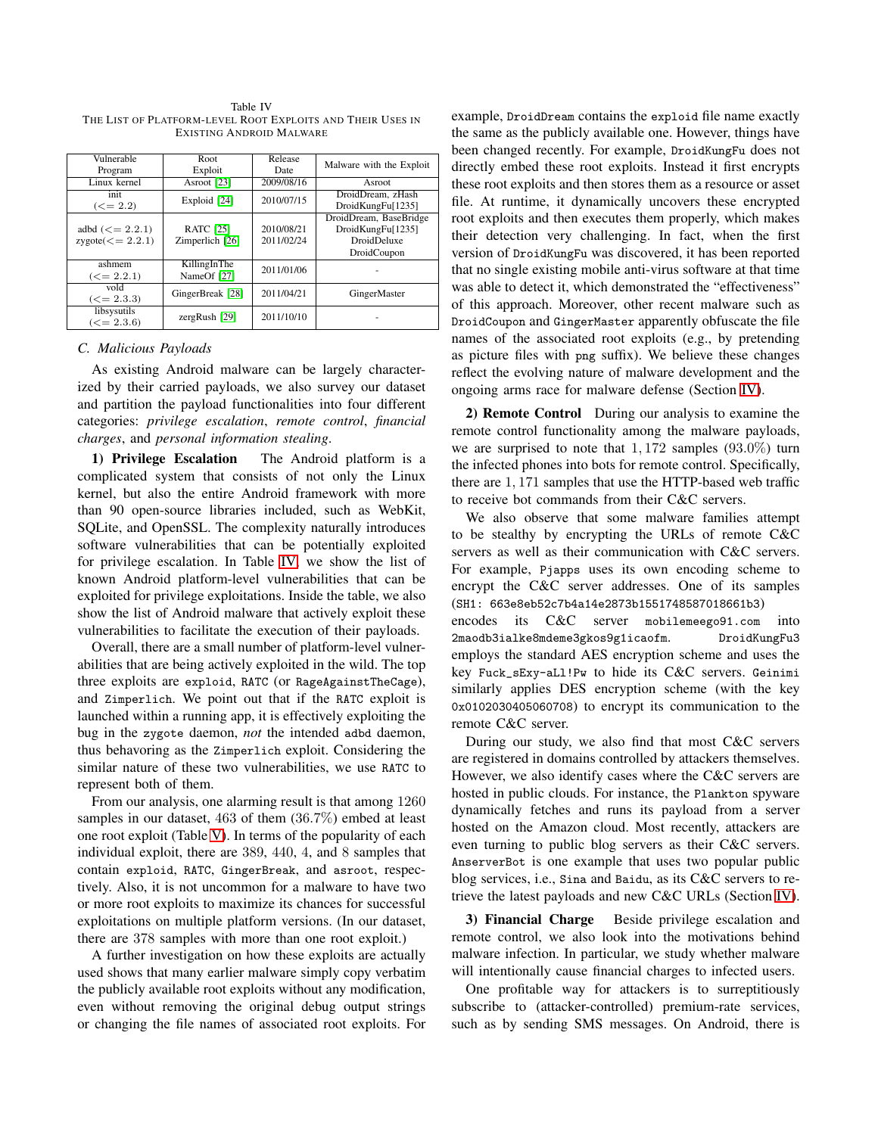<span id="page-6-0"></span>Table IV THE LIST OF PLATFORM-LEVEL ROOT EXPLOITS AND THEIR USES IN EXISTING ANDROID MALWARE

| Vulnerable                  | Root             | Release    |                          |  |  |  |  |
|-----------------------------|------------------|------------|--------------------------|--|--|--|--|
| Program                     | Exploit          | Date       | Malware with the Exploit |  |  |  |  |
| Linux kernel                | Asroot [23]      | 2009/08/16 | Asroot                   |  |  |  |  |
| init                        | Exploid [24]     | 2010/07/15 | DroidDream, zHash        |  |  |  |  |
| $(<= 2.2)$                  |                  |            | DroidKungFu[1235]        |  |  |  |  |
|                             |                  |            | DroidDream, BaseBridge   |  |  |  |  |
| adbd $(< = 2.2.1)$          | <b>RATC [25]</b> | 2010/08/21 | DroidKungFu[1235]        |  |  |  |  |
| $zygote(< = 2.2.1)$         | Zimperlich [26]  | 2011/02/24 | DroidDeluxe              |  |  |  |  |
|                             |                  |            | DroidCoupon              |  |  |  |  |
| ashmem                      | KillingInThe     | 2011/01/06 |                          |  |  |  |  |
| $(<= 2.2.1)$                | NameOf [27]      |            |                          |  |  |  |  |
| vold                        | GingerBreak [28] | 2011/04/21 | GingerMaster             |  |  |  |  |
| $(<= 2.3.3)$                |                  |            |                          |  |  |  |  |
| libsysutils                 | zergRush [29]    | 2011/10/10 |                          |  |  |  |  |
| $\left( \leq 2.3.6 \right)$ |                  |            |                          |  |  |  |  |

## *C. Malicious Payloads*

As existing Android malware can be largely characterized by their carried payloads, we also survey our dataset and partition the payload functionalities into four different categories: *privilege escalation*, *remote control*, *financial charges*, and *personal information stealing*.

1) Privilege Escalation The Android platform is a complicated system that consists of not only the Linux kernel, but also the entire Android framework with more than 90 open-source libraries included, such as WebKit, SQLite, and OpenSSL. The complexity naturally introduces software vulnerabilities that can be potentially exploited for privilege escalation. In Table [IV,](#page-6-0) we show the list of known Android platform-level vulnerabilities that can be exploited for privilege exploitations. Inside the table, we also show the list of Android malware that actively exploit these vulnerabilities to facilitate the execution of their payloads.

Overall, there are a small number of platform-level vulnerabilities that are being actively exploited in the wild. The top three exploits are exploid, RATC (or RageAgainstTheCage), and Zimperlich. We point out that if the RATC exploit is launched within a running app, it is effectively exploiting the bug in the zygote daemon, *not* the intended adbd daemon, thus behavoring as the Zimperlich exploit. Considering the similar nature of these two vulnerabilities, we use RATC to represent both of them.

From our analysis, one alarming result is that among 1260 samples in our dataset, <sup>463</sup> of them (36.7%) embed at least one root exploit (Table [V\)](#page-7-0). In terms of the popularity of each individual exploit, there are 389, 440, 4, and 8 samples that contain exploid, RATC, GingerBreak, and asroot, respectively. Also, it is not uncommon for a malware to have two or more root exploits to maximize its chances for successful exploitations on multiple platform versions. (In our dataset, there are 378 samples with more than one root exploit.)

A further investigation on how these exploits are actually used shows that many earlier malware simply copy verbatim the publicly available root exploits without any modification, even without removing the original debug output strings or changing the file names of associated root exploits. For example, DroidDream contains the exploid file name exactly the same as the publicly available one. However, things have been changed recently. For example, DroidKungFu does not directly embed these root exploits. Instead it first encrypts these root exploits and then stores them as a resource or asset file. At runtime, it dynamically uncovers these encrypted root exploits and then executes them properly, which makes their detection very challenging. In fact, when the first version of DroidKungFu was discovered, it has been reported that no single existing mobile anti-virus software at that time was able to detect it, which demonstrated the "effectiveness" of this approach. Moreover, other recent malware such as DroidCoupon and GingerMaster apparently obfuscate the file names of the associated root exploits (e.g., by pretending as picture files with png suffix). We believe these changes reflect the evolving nature of malware development and the ongoing arms race for malware defense (Section [IV\)](#page-9-0).

2) Remote Control During our analysis to examine the remote control functionality among the malware payloads, we are surprised to note that  $1,172$  samples  $(93.0\%)$  turn the infected phones into bots for remote control. Specifically, there are <sup>1</sup>, <sup>171</sup> samples that use the HTTP-based web traffic to receive bot commands from their C&C servers.

We also observe that some malware families attempt to be stealthy by encrypting the URLs of remote C&C servers as well as their communication with C&C servers. For example, Pjapps uses its own encoding scheme to encrypt the C&C server addresses. One of its samples (SH1: 663e8eb52c7b4a14e2873b1551748587018661b3) encodes its C&C server mobilemeego91.com into 2maodb3ialke8mdeme3gkos9g1icaofm. DroidKungFu3 employs the standard AES encryption scheme and uses the key Fuck\_sExy-aLl!Pw to hide its C&C servers. Geinimi similarly applies DES encryption scheme (with the key 0x0102030405060708) to encrypt its communication to the remote C&C server.

During our study, we also find that most C&C servers are registered in domains controlled by attackers themselves. However, we also identify cases where the C&C servers are hosted in public clouds. For instance, the Plankton spyware dynamically fetches and runs its payload from a server hosted on the Amazon cloud. Most recently, attackers are even turning to public blog servers as their C&C servers. AnserverBot is one example that uses two popular public blog services, i.e., Sina and Baidu, as its C&C servers to retrieve the latest payloads and new C&C URLs (Section [IV\)](#page-9-0).

3) Financial Charge Beside privilege escalation and remote control, we also look into the motivations behind malware infection. In particular, we study whether malware will intentionally cause financial charges to infected users.

One profitable way for attackers is to surreptitiously subscribe to (attacker-controlled) premium-rate services, such as by sending SMS messages. On Android, there is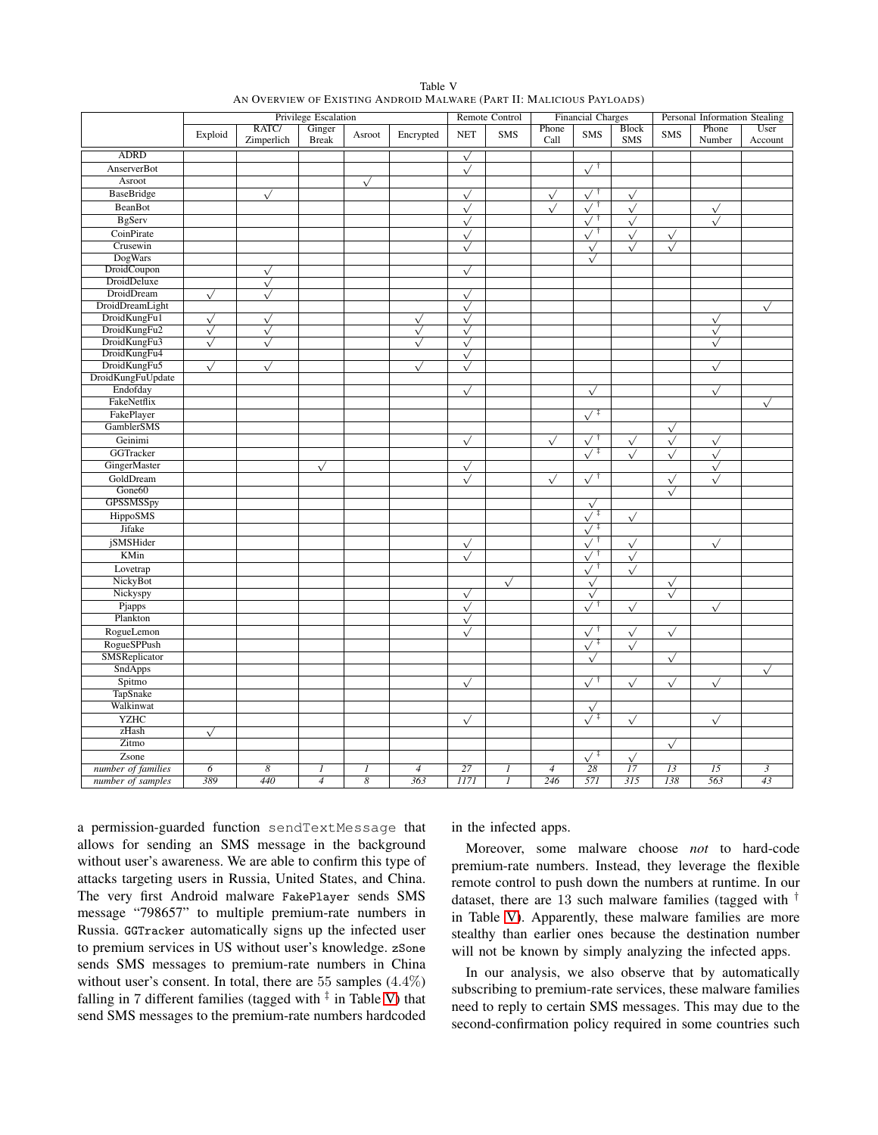<span id="page-7-0"></span>

|                              |                |                     | Privilege Escalation   |                | <b>Financial Charges</b><br>Remote Control |              |                |                |                       | Personal Information Stealing |                 |                 |                         |
|------------------------------|----------------|---------------------|------------------------|----------------|--------------------------------------------|--------------|----------------|----------------|-----------------------|-------------------------------|-----------------|-----------------|-------------------------|
|                              | Exploid        | RATC/<br>Zimperlich | Ginger<br><b>Break</b> | Asroot         | Encrypted                                  | <b>NET</b>   | SMS            | Phone<br>Call  | SMS                   | <b>Block</b><br><b>SMS</b>    | <b>SMS</b>      | Phone<br>Number | User<br>Account         |
| <b>ADRD</b>                  |                |                     |                        |                |                                            | $\sqrt{}$    |                |                |                       |                               |                 |                 |                         |
| AnserverBot                  |                |                     |                        |                |                                            | $\sqrt{}$    |                |                | $\sqrt{ }$            |                               |                 |                 |                         |
| Asroot                       |                |                     |                        | $\sqrt{}$      |                                            |              |                |                |                       |                               |                 |                 |                         |
| <b>BaseBridge</b>            |                | $\checkmark$        |                        |                |                                            | $\sqrt{}$    |                | $\sqrt{}$      | $\sqrt{}$             | $\sqrt{}$                     |                 |                 |                         |
| <b>BeanBot</b>               |                |                     |                        |                |                                            | $\sqrt{}$    |                | $\sqrt{}$      | $\overline{\sqrt{ }}$ | $\sqrt{}$                     |                 | $\sqrt{}$       |                         |
| <b>BgServ</b>                |                |                     |                        |                |                                            | $\sqrt{}$    |                |                | $\tilde{\sqrt{}}$     | $\sqrt{}$                     |                 | $\checkmark$    |                         |
| CoinPirate                   |                |                     |                        |                |                                            | $\sqrt{}$    |                |                | $\sqrt{ }$            | $\sqrt{}$                     | $\sqrt{}$       |                 |                         |
| Crusewin                     |                |                     |                        |                |                                            | $\sqrt{}$    |                |                | $\sqrt{}$             | $\sqrt{}$                     | $\checkmark$    |                 |                         |
| <b>DogWars</b>               |                |                     |                        |                |                                            |              |                |                | $\sqrt{}$             |                               |                 |                 |                         |
| DroidCoupon                  |                | $\sqrt{}$           |                        |                |                                            | $\sqrt{}$    |                |                |                       |                               |                 |                 |                         |
| DroidDeluxe                  |                | $\sqrt{}$           |                        |                |                                            |              |                |                |                       |                               |                 |                 |                         |
| DroidDream                   | $\sqrt{}$      | $\sqrt{}$           |                        |                |                                            | $\sqrt{}$    |                |                |                       |                               |                 |                 |                         |
| DroidDreamLight              |                |                     |                        |                |                                            | $\sqrt{}$    |                |                |                       |                               |                 |                 | $\sqrt{}$               |
| DroidKungFu1                 | $\sqrt{}$      | $\sqrt{}$           |                        |                | $\sqrt{}$                                  | $\sqrt{}$    |                |                |                       |                               |                 | $\sqrt{}$       |                         |
| DroidKungFu2<br>DroidKungFu3 | $\sqrt{}$      | $\sqrt{}$           |                        |                | $\checkmark$                               | $\sqrt{ }$   |                |                |                       |                               |                 | $\checkmark$    |                         |
| DroidKungFu4                 | $\checkmark$   | $\sqrt{}$           |                        |                | $\checkmark$                               | $\sqrt{}$    |                |                |                       |                               |                 | $\checkmark$    |                         |
| DroidKungFu5                 |                |                     |                        |                |                                            | $\sqrt{}$    |                |                |                       |                               |                 |                 |                         |
| DroidKungFuUpdate            | $\checkmark$   | $\checkmark$        |                        |                | $\sqrt{}$                                  |              |                |                |                       |                               |                 | $\checkmark$    |                         |
| Endofday                     |                |                     |                        |                |                                            | $\sqrt{}$    |                |                | $\sqrt{}$             |                               |                 | $\sqrt{}$       |                         |
| FakeNetflix                  |                |                     |                        |                |                                            |              |                |                |                       |                               |                 |                 | $\checkmark$            |
| FakePlayer                   |                |                     |                        |                |                                            |              |                |                | $\sqrt{1}$            |                               |                 |                 |                         |
| <b>GamblerSMS</b>            |                |                     |                        |                |                                            |              |                |                |                       |                               | $\checkmark$    |                 |                         |
| Geinimi                      |                |                     |                        |                |                                            | $\sqrt{}$    |                | $\sqrt{}$      | $\sqrt{ }$            | $\sqrt{}$                     | $\checkmark$    | $\sqrt{}$       |                         |
| GGTracker                    |                |                     |                        |                |                                            |              |                |                | $\sqrt{1}$            | $\sqrt{}$                     | $\checkmark$    | $\sqrt{}$       |                         |
| GingerMaster                 |                |                     | $\sqrt{}$              |                |                                            | $\sqrt{}$    |                |                |                       |                               |                 | $\sqrt{}$       |                         |
| GoldDream                    |                |                     |                        |                |                                            | $\sqrt{}$    |                | $\sqrt{}$      | $\overline{\sqrt{1}}$ |                               | $\sqrt{}$       | $\sqrt{}$       |                         |
| Gone <sub>60</sub>           |                |                     |                        |                |                                            |              |                |                |                       |                               | $\sqrt{}$       |                 |                         |
| <b>GPSSMSSpy</b>             |                |                     |                        |                |                                            |              |                |                | $\sqrt{}$             |                               |                 |                 |                         |
| HippoSMS                     |                |                     |                        |                |                                            |              |                |                | $\sqrt{1}$            | $\sqrt{}$                     |                 |                 |                         |
| Jifake                       |                |                     |                        |                |                                            |              |                |                | $\sqrt{4}$            |                               |                 |                 |                         |
| jSMSHider                    |                |                     |                        |                |                                            | $\sqrt{}$    |                |                | $\sqrt{\ }$           | $\sqrt{}$                     |                 | $\sqrt{}$       |                         |
| KMin                         |                |                     |                        |                |                                            | $\sqrt{}$    |                |                | $\checkmark$          | $\sqrt{ }$                    |                 |                 |                         |
| Lovetrap                     |                |                     |                        |                |                                            |              |                |                | $\checkmark$          | $\sqrt{}$                     |                 |                 |                         |
| NickyBot                     |                |                     |                        |                |                                            |              | $\sqrt{}$      |                | $\sqrt{ }$            |                               | $\sqrt{}$       |                 |                         |
| Nickyspy                     |                |                     |                        |                |                                            | $\sqrt{}$    |                |                | $\sqrt{ }$            |                               | $\sqrt{}$       |                 |                         |
| Pjapps                       |                |                     |                        |                |                                            | $\sqrt{}$    |                |                | $\sqrt{ }$            | $\sqrt{}$                     |                 | $\sqrt{}$       |                         |
| Plankton                     |                |                     |                        |                |                                            | $\sqrt{}$    |                |                |                       |                               |                 |                 |                         |
| RogueLemon                   |                |                     |                        |                |                                            | $\checkmark$ |                |                | $\sqrt{}$             | $\sqrt{}$                     | $\sqrt{}$       |                 |                         |
| RogueSPPush                  |                |                     |                        |                |                                            |              |                |                | $\sqrt{2}$            | $\sqrt{ }$                    |                 |                 |                         |
| SMSReplicator                |                |                     |                        |                |                                            |              |                |                | $\sqrt{}$             |                               | $\checkmark$    |                 |                         |
| SndApps                      |                |                     |                        |                |                                            |              |                |                |                       |                               |                 |                 | $\sqrt{}$               |
| Spitmo                       |                |                     |                        |                |                                            | $\sqrt{}$    |                |                | $\sqrt{}$             | $\sqrt{}$                     | $\sqrt{}$       | $\sqrt{}$       |                         |
| TapSnake                     |                |                     |                        |                |                                            |              |                |                |                       |                               |                 |                 |                         |
| Walkinwat                    |                |                     |                        |                |                                            |              |                |                | $\sqrt{}$             |                               |                 |                 |                         |
| <b>YZHC</b>                  |                |                     |                        |                |                                            | $\sqrt{}$    |                |                | $\sqrt{1}$            | $\sqrt{}$                     |                 | $\sqrt{}$       |                         |
| zHash                        | $\sqrt{}$      |                     |                        |                |                                            |              |                |                |                       |                               |                 |                 |                         |
| Zitmo                        |                |                     |                        |                |                                            |              |                |                |                       |                               | $\sqrt{}$       |                 |                         |
| Zsone                        |                |                     |                        |                |                                            |              |                |                | $\overline{\sqrt{1}}$ | $\sqrt{}$                     |                 |                 |                         |
| number of families           | $\overline{6}$ | $\overline{s}$      | 1                      | 1              | $\overline{4}$                             | 27           | 1              | $\overline{4}$ | $\overline{28}$       | $\overline{17}$               | $\overline{13}$ | $\overline{15}$ | $\overline{\mathbf{3}}$ |
| number of samples            | 389            | 440                 | $\overline{4}$         | $\overline{s}$ | 363                                        | 1171         | $\overline{I}$ | 246            | 571                   | $\overline{315}$              | 138             | 563             | 43                      |

Table V AN OVERVIEW OF EXISTING ANDROID MALWARE (PART II: MALICIOUS PAYLOADS)

a permission-guarded function sendTextMessage that allows for sending an SMS message in the background without user's awareness. We are able to confirm this type of attacks targeting users in Russia, United States, and China. The very first Android malware FakePlayer sends SMS message "798657" to multiple premium-rate numbers in Russia. GGTracker automatically signs up the infected user to premium services in US without user's knowledge. zSone sends SMS messages to premium-rate numbers in China without user's consent. In total, there are <sup>55</sup> samples (4.4%) falling in 7 different families (tagged with  $\frac{1}{4}$  in Table [V\)](#page-7-0) that send SMS messages to the premium-rate numbers hardcoded in the infected apps.

Moreover, some malware choose *not* to hard-code premium-rate numbers. Instead, they leverage the flexible remote control to push down the numbers at runtime. In our dataset, there are 13 such malware families (tagged with  $\dagger$ in Table [V\)](#page-7-0). Apparently, these malware families are more stealthy than earlier ones because the destination number will not be known by simply analyzing the infected apps.

In our analysis, we also observe that by automatically subscribing to premium-rate services, these malware families need to reply to certain SMS messages. This may due to the second-confirmation policy required in some countries such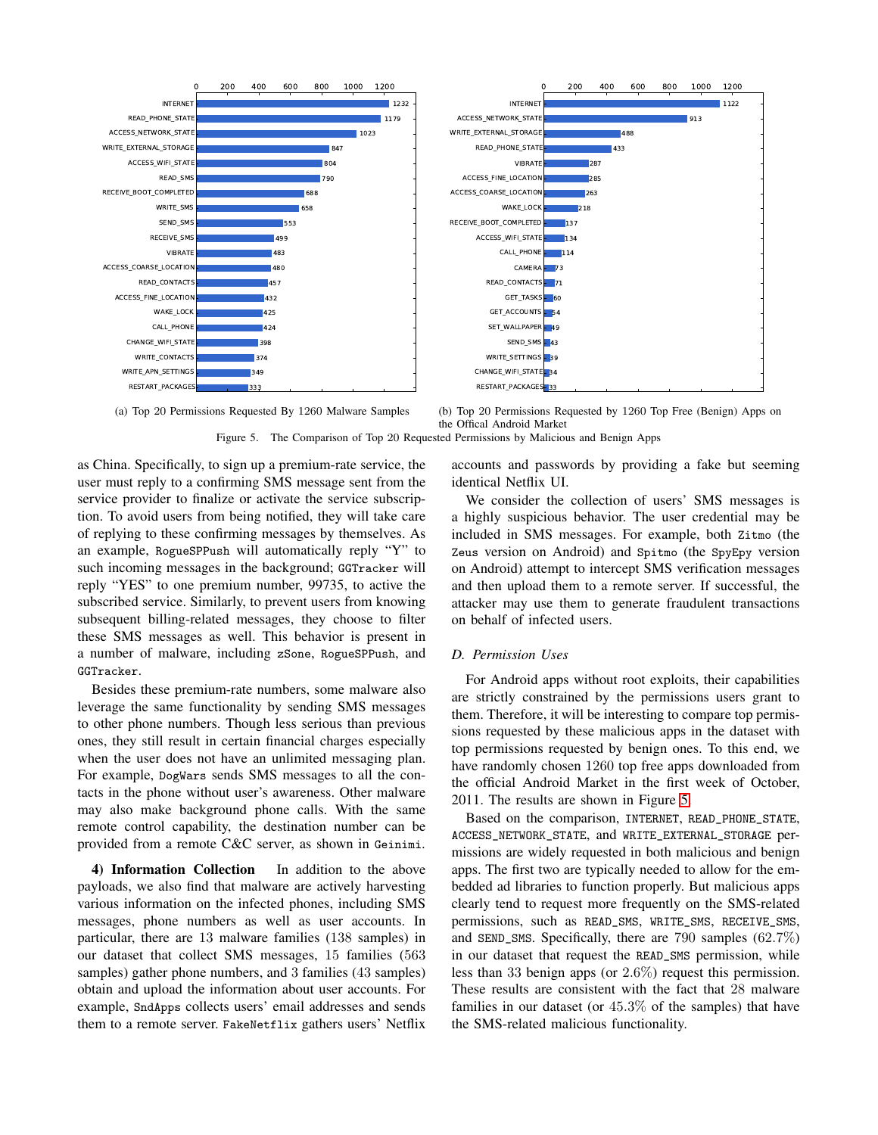



(b) Top 20 Permissions Requested by 1260 Top Free (Benign) Apps on the Offical Android Market

<span id="page-8-0"></span>Figure 5. The Comparison of Top 20 Requested Permissions by Malicious and Benign Apps

as China. Specifically, to sign up a premium-rate service, the user must reply to a confirming SMS message sent from the service provider to finalize or activate the service subscription. To avoid users from being notified, they will take care of replying to these confirming messages by themselves. As an example, RogueSPPush will automatically reply "Y" to such incoming messages in the background; GGTracker will reply "YES" to one premium number, 99735, to active the subscribed service. Similarly, to prevent users from knowing subsequent billing-related messages, they choose to filter these SMS messages as well. This behavior is present in a number of malware, including zSone, RogueSPPush, and GGTracker.

Besides these premium-rate numbers, some malware also leverage the same functionality by sending SMS messages to other phone numbers. Though less serious than previous ones, they still result in certain financial charges especially when the user does not have an unlimited messaging plan. For example, DogWars sends SMS messages to all the contacts in the phone without user's awareness. Other malware may also make background phone calls. With the same remote control capability, the destination number can be provided from a remote C&C server, as shown in Geinimi.

4) Information Collection In addition to the above payloads, we also find that malware are actively harvesting various information on the infected phones, including SMS messages, phone numbers as well as user accounts. In particular, there are 13 malware families (138 samples) in our dataset that collect SMS messages, 15 families (563 samples) gather phone numbers, and 3 families (43 samples) obtain and upload the information about user accounts. For example, SndApps collects users' email addresses and sends them to a remote server. FakeNetflix gathers users' Netflix accounts and passwords by providing a fake but seeming identical Netflix UI.

We consider the collection of users' SMS messages is a highly suspicious behavior. The user credential may be included in SMS messages. For example, both Zitmo (the Zeus version on Android) and Spitmo (the SpyEpy version on Android) attempt to intercept SMS verification messages and then upload them to a remote server. If successful, the attacker may use them to generate fraudulent transactions on behalf of infected users.

## *D. Permission Uses*

For Android apps without root exploits, their capabilities are strictly constrained by the permissions users grant to them. Therefore, it will be interesting to compare top permissions requested by these malicious apps in the dataset with top permissions requested by benign ones. To this end, we have randomly chosen 1260 top free apps downloaded from the official Android Market in the first week of October, 2011. The results are shown in Figure [5.](#page-8-0)

Based on the comparison, INTERNET, READ\_PHONE\_STATE, ACCESS\_NETWORK\_STATE, and WRITE\_EXTERNAL\_STORAGE permissions are widely requested in both malicious and benign apps. The first two are typically needed to allow for the embedded ad libraries to function properly. But malicious apps clearly tend to request more frequently on the SMS-related permissions, such as READ\_SMS, WRITE\_SMS, RECEIVE\_SMS, and SEND\_SMS. Specifically, there are <sup>790</sup> samples (62.7%) in our dataset that request the READ\_SMS permission, while less than <sup>33</sup> benign apps (or <sup>2</sup>.6%) request this permission. These results are consistent with the fact that 28 malware families in our dataset (or <sup>45</sup>.3% of the samples) that have the SMS-related malicious functionality.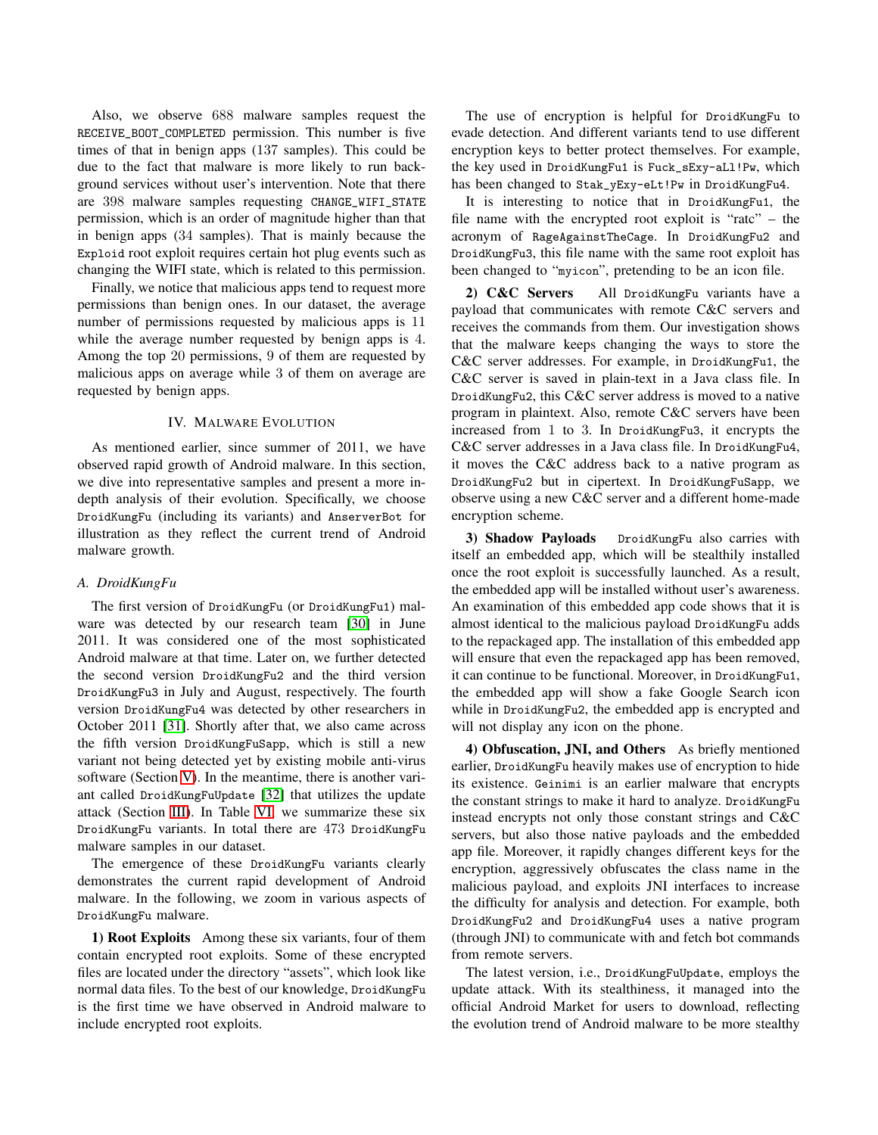Also, we observe 688 malware samples request the RECEIVE\_BOOT\_COMPLETED permission. This number is five times of that in benign apps (137 samples). This could be due to the fact that malware is more likely to run background services without user's intervention. Note that there are 398 malware samples requesting CHANGE\_WIFI\_STATE permission, which is an order of magnitude higher than that in benign apps (34 samples). That is mainly because the Exploid root exploit requires certain hot plug events such as changing the WIFI state, which is related to this permission.

Finally, we notice that malicious apps tend to request more permissions than benign ones. In our dataset, the average number of permissions requested by malicious apps is 11 while the average number requested by benign apps is 4. Among the top 20 permissions, 9 of them are requested by malicious apps on average while 3 of them on average are requested by benign apps.

#### IV. MALWARE EVOLUTION

<span id="page-9-0"></span>As mentioned earlier, since summer of 2011, we have observed rapid growth of Android malware. In this section, we dive into representative samples and present a more indepth analysis of their evolution. Specifically, we choose DroidKungFu (including its variants) and AnserverBot for illustration as they reflect the current trend of Android malware growth.

#### *A. DroidKungFu*

The first version of DroidKungFu (or DroidKungFu1) malware was detected by our research team [\[30\]](#page-13-24) in June 2011. It was considered one of the most sophisticated Android malware at that time. Later on, we further detected the second version DroidKungFu2 and the third version DroidKungFu3 in July and August, respectively. The fourth version DroidKungFu4 was detected by other researchers in October 2011 [\[31\]](#page-13-25). Shortly after that, we also came across the fifth version DroidKungFuSapp, which is still a new variant not being detected yet by existing mobile anti-virus software (Section [V\)](#page-10-0). In the meantime, there is another variant called DroidKungFuUpdate [\[32\]](#page-13-26) that utilizes the update attack (Section [III\)](#page-2-0). In Table [VI,](#page-10-1) we summarize these six DroidKungFu variants. In total there are 473 DroidKungFu malware samples in our dataset.

The emergence of these DroidKungFu variants clearly demonstrates the current rapid development of Android malware. In the following, we zoom in various aspects of DroidKungFu malware.

1) Root Exploits Among these six variants, four of them contain encrypted root exploits. Some of these encrypted files are located under the directory "assets", which look like normal data files. To the best of our knowledge, DroidKungFu is the first time we have observed in Android malware to include encrypted root exploits.

The use of encryption is helpful for DroidKungFu to evade detection. And different variants tend to use different encryption keys to better protect themselves. For example, the key used in DroidKungFu1 is Fuck\_sExy-aLl!Pw, which has been changed to Stak\_yExy-eLt!Pw in DroidKungFu4.

It is interesting to notice that in DroidKungFu1, the file name with the encrypted root exploit is "ratc" – the acronym of RageAgainstTheCage. In DroidKungFu2 and DroidKungFu3, this file name with the same root exploit has been changed to "myicon", pretending to be an icon file.

2) C&C Servers All DroidKungFu variants have a payload that communicates with remote C&C servers and receives the commands from them. Our investigation shows that the malware keeps changing the ways to store the C&C server addresses. For example, in DroidKungFu1, the C&C server is saved in plain-text in a Java class file. In DroidKungFu2, this C&C server address is moved to a native program in plaintext. Also, remote C&C servers have been increased from 1 to 3. In DroidKungFu3, it encrypts the C&C server addresses in a Java class file. In DroidKungFu4, it moves the C&C address back to a native program as DroidKungFu2 but in cipertext. In DroidKungFuSapp, we observe using a new C&C server and a different home-made encryption scheme.

3) Shadow Payloads DroidKungFu also carries with itself an embedded app, which will be stealthily installed once the root exploit is successfully launched. As a result, the embedded app will be installed without user's awareness. An examination of this embedded app code shows that it is almost identical to the malicious payload DroidKungFu adds to the repackaged app. The installation of this embedded app will ensure that even the repackaged app has been removed, it can continue to be functional. Moreover, in DroidKungFu1, the embedded app will show a fake Google Search icon while in DroidKungFu2, the embedded app is encrypted and will not display any icon on the phone.

4) Obfuscation, JNI, and Others As briefly mentioned earlier, DroidKungFu heavily makes use of encryption to hide its existence. Geinimi is an earlier malware that encrypts the constant strings to make it hard to analyze. DroidKungFu instead encrypts not only those constant strings and C&C servers, but also those native payloads and the embedded app file. Moreover, it rapidly changes different keys for the encryption, aggressively obfuscates the class name in the malicious payload, and exploits JNI interfaces to increase the difficulty for analysis and detection. For example, both DroidKungFu2 and DroidKungFu4 uses a native program (through JNI) to communicate with and fetch bot commands from remote servers.

The latest version, i.e., DroidKungFuUpdate, employs the update attack. With its stealthiness, it managed into the official Android Market for users to download, reflecting the evolution trend of Android malware to be more stealthy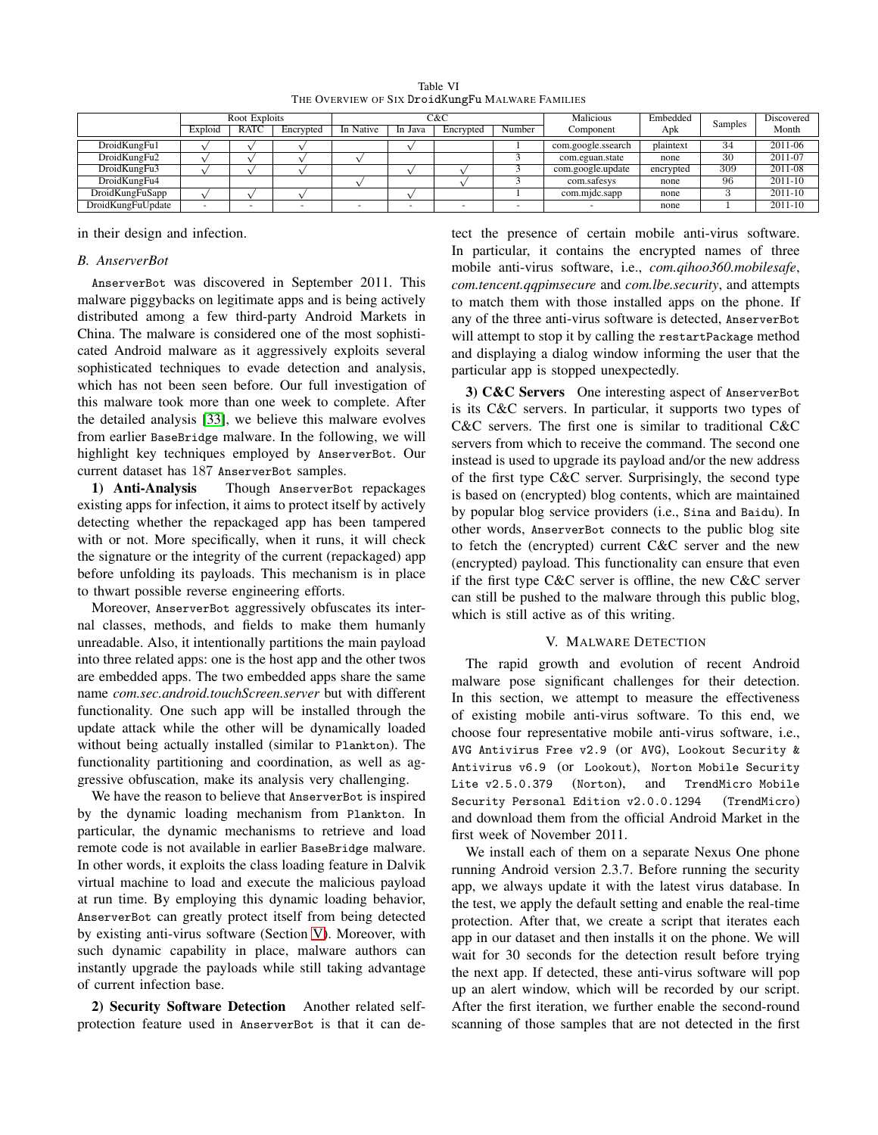Table VI THE OVERVIEW OF SIX DroidKungFu MALWARE FAMILIES

<span id="page-10-1"></span>

|                   | Exploid | Root Exploits<br><b>RATC</b> | Encrypted | C&C<br>In Native<br>Number<br>Encrypted<br>In Java |  | Malicious<br>Component | Embedded<br>Apk    | Samples   | Discovered<br>Month |           |
|-------------------|---------|------------------------------|-----------|----------------------------------------------------|--|------------------------|--------------------|-----------|---------------------|-----------|
| DroidKungFu1      |         |                              |           |                                                    |  |                        | com.google.ssearch | plaintext | 34                  | 2011-06   |
| DroidKungFu2      |         |                              |           |                                                    |  |                        | com.eguan.state    | none      | 30                  | 2011-07   |
| DroidKungFu3      |         |                              |           |                                                    |  |                        | com.google.update  | encrypted | 309                 | 2011-08   |
| DroidKungFu4      |         |                              |           |                                                    |  |                        | com safesys        | none      | 96                  | $2011-10$ |
| DroidKungFuSapp   |         |                              |           |                                                    |  |                        | com.mjdc.sapp      | none      |                     | 2011-10   |
| DroidKungFuUpdate |         |                              |           |                                                    |  |                        |                    | none      |                     | 2011-10   |

in their design and infection.

## *B. AnserverBot*

AnserverBot was discovered in September 2011. This malware piggybacks on legitimate apps and is being actively distributed among a few third-party Android Markets in China. The malware is considered one of the most sophisticated Android malware as it aggressively exploits several sophisticated techniques to evade detection and analysis, which has not been seen before. Our full investigation of this malware took more than one week to complete. After the detailed analysis [\[33\]](#page-13-27), we believe this malware evolves from earlier BaseBridge malware. In the following, we will highlight key techniques employed by AnserverBot. Our current dataset has 187 AnserverBot samples.

1) Anti-Analysis Though AnserverBot repackages existing apps for infection, it aims to protect itself by actively detecting whether the repackaged app has been tampered with or not. More specifically, when it runs, it will check the signature or the integrity of the current (repackaged) app before unfolding its payloads. This mechanism is in place to thwart possible reverse engineering efforts.

Moreover, AnserverBot aggressively obfuscates its internal classes, methods, and fields to make them humanly unreadable. Also, it intentionally partitions the main payload into three related apps: one is the host app and the other twos are embedded apps. The two embedded apps share the same name *com.sec.android.touchScreen.server* but with different functionality. One such app will be installed through the update attack while the other will be dynamically loaded without being actually installed (similar to Plankton). The functionality partitioning and coordination, as well as aggressive obfuscation, make its analysis very challenging.

We have the reason to believe that AnserverBot is inspired by the dynamic loading mechanism from Plankton. In particular, the dynamic mechanisms to retrieve and load remote code is not available in earlier BaseBridge malware. In other words, it exploits the class loading feature in Dalvik virtual machine to load and execute the malicious payload at run time. By employing this dynamic loading behavior, AnserverBot can greatly protect itself from being detected by existing anti-virus software (Section [V\)](#page-10-0). Moreover, with such dynamic capability in place, malware authors can instantly upgrade the payloads while still taking advantage of current infection base.

2) Security Software Detection Another related selfprotection feature used in AnserverBot is that it can detect the presence of certain mobile anti-virus software. In particular, it contains the encrypted names of three mobile anti-virus software, i.e., *com.qihoo360.mobilesafe*, *com.tencent.qqpimsecure* and *com.lbe.security*, and attempts to match them with those installed apps on the phone. If any of the three anti-virus software is detected, AnserverBot will attempt to stop it by calling the restartPackage method and displaying a dialog window informing the user that the particular app is stopped unexpectedly.

3) C&C Servers One interesting aspect of AnserverBot is its C&C servers. In particular, it supports two types of C&C servers. The first one is similar to traditional C&C servers from which to receive the command. The second one instead is used to upgrade its payload and/or the new address of the first type C&C server. Surprisingly, the second type is based on (encrypted) blog contents, which are maintained by popular blog service providers (i.e., Sina and Baidu). In other words, AnserverBot connects to the public blog site to fetch the (encrypted) current C&C server and the new (encrypted) payload. This functionality can ensure that even if the first type C&C server is offline, the new C&C server can still be pushed to the malware through this public blog, which is still active as of this writing.

## V. MALWARE DETECTION

<span id="page-10-0"></span>The rapid growth and evolution of recent Android malware pose significant challenges for their detection. In this section, we attempt to measure the effectiveness of existing mobile anti-virus software. To this end, we choose four representative mobile anti-virus software, i.e., AVG Antivirus Free v2.9 (or AVG), Lookout Security & Antivirus v6.9 (or Lookout), Norton Mobile Security Lite v2.5.0.379 (Norton), and TrendMicro Mobile Security Personal Edition v2.0.0.1294 (TrendMicro) and download them from the official Android Market in the first week of November 2011.

We install each of them on a separate Nexus One phone running Android version 2.3.7. Before running the security app, we always update it with the latest virus database. In the test, we apply the default setting and enable the real-time protection. After that, we create a script that iterates each app in our dataset and then installs it on the phone. We will wait for 30 seconds for the detection result before trying the next app. If detected, these anti-virus software will pop up an alert window, which will be recorded by our script. After the first iteration, we further enable the second-round scanning of those samples that are not detected in the first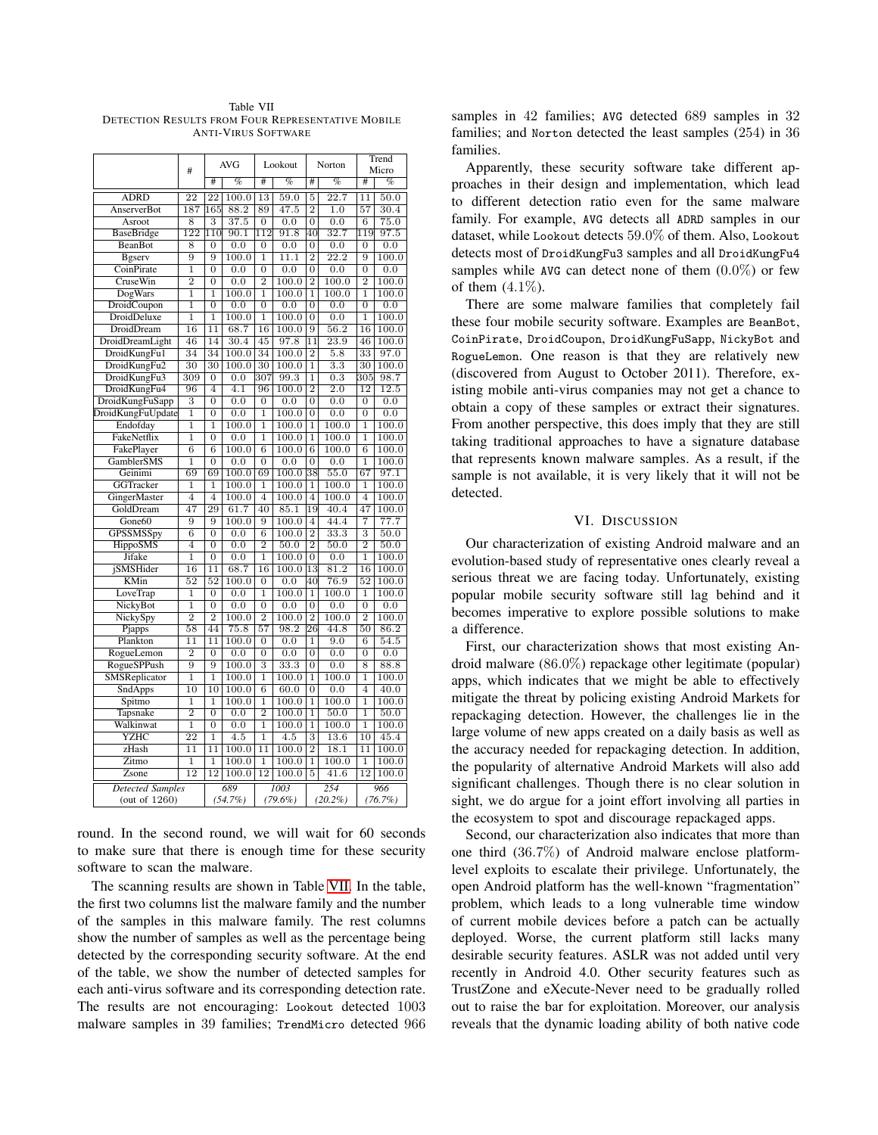<span id="page-11-1"></span>Table VII DETECTION RESULTS FROM FOUR REPRESENTATIVE MOBILE ANTI-VIRUS SOFTWARE

|                         | #                | <b>AVG</b>                |                    |                  | Lookout            |                 | Norton            | Trend<br>Micro            |                    |  |
|-------------------------|------------------|---------------------------|--------------------|------------------|--------------------|-----------------|-------------------|---------------------------|--------------------|--|
|                         |                  | #                         | $\%$               | #                | $\%$               | #               | $\%$              | #                         | $\%$               |  |
| <b>ADRD</b>             | $\overline{22}$  | $\overline{22}$           | 100.0              | $\overline{13}$  | 59.0               | $\overline{5}$  | $\overline{22.7}$ | $\overline{11}$           | 50.0               |  |
| AnserverBot             | 187              | 165                       | 88.2               | 89               | 47.5               | $\overline{2}$  | 1.0               | 57                        | 30.4               |  |
| Asroot                  | $\overline{8}$   | $\overline{\overline{3}}$ | 37.5               | $\overline{0}$   | 0.0                | $\overline{0}$  | 0.0               | $\overline{6}$            | 75.0               |  |
| <b>BaseBridge</b>       | $\overline{122}$ | $\overline{110}$          | 90.1               | $\overline{112}$ | $\overline{91.8}$  | $\overline{40}$ | $\overline{32.7}$ | $\overline{119}$          | 97.5               |  |
| <b>BeanBot</b>          | 8                | $\overline{0}$            | 0.0                | $\overline{0}$   | 0.0                | $\overline{0}$  | 0.0               | $\overline{0}$            | 0.0                |  |
| <b>Bgserv</b>           | $\overline{9}$   | $\overline{9}$            | 100.0              | $\overline{1}$   | 11.1               | $\overline{2}$  | $\overline{22.2}$ | $\overline{9}$            | 100.0              |  |
| CoinPirate              | $\overline{1}$   | $\overline{0}$            | 0.0                | $\overline{0}$   | 0.0                | $\overline{0}$  | $\overline{0.0}$  | $\overline{0}$            | 0.0                |  |
| CruseWin                | $\overline{2}$   | $\overline{0}$            | 0.0                | $\overline{2}$   | 100.0              | $\overline{2}$  | 100.0             | $\overline{2}$            | 100.0              |  |
| DogWars                 | $\overline{1}$   | $\overline{1}$            | 100.0              | $\overline{1}$   | 100.0              | $\overline{1}$  | 100.0             | ī                         | 100.0              |  |
| <b>DroidCoupon</b>      | $\overline{1}$   | $\overline{0}$            | $\overline{0.0}$   | $\overline{0}$   | $\overline{0.0}$   | $\overline{0}$  | $\overline{0.0}$  | $\overline{0}$            | 0.0                |  |
| <b>DroidDeluxe</b>      | ī                | ī                         | 100.0              | $\overline{1}$   | 100.0              | $\overline{0}$  | 0.0               | $\overline{1}$            | 100.0              |  |
| DroidDream              | 16               | $\overline{11}$           | 68.7               | 16               | 100.0              | $\overline{9}$  | 56.2              | 16                        | 100.0              |  |
| DroidDreamLight         | 46               | $\overline{14}$           | $\overline{30.4}$  | $\overline{45}$  | $\overline{97.8}$  | $\overline{11}$ | $\overline{23.9}$ | 46                        | 100.0              |  |
| DroidKungFu1            | $\overline{34}$  | $\overline{34}$           | 100.0              | $\overline{34}$  | 100.0              | $\overline{2}$  | $\overline{5.8}$  | $\overline{33}$           | 97.0               |  |
| DroidKungFu2            | 30               | $\overline{30}$           | 100.0              | $\overline{30}$  | 100.0              | $\overline{1}$  | $\overline{3.3}$  | 30                        | 100.0              |  |
| DroidKungFu3            | 309              | $\overline{0}$            | 0.0                | 307              | 99.3               | ī               | $\overline{0.3}$  | 305                       | 98.7               |  |
| DroidKungFu4            | 96               | $\overline{4}$            | 4.1                | 96               | 100.0              | $\overline{2}$  | $\overline{2.0}$  | 12                        | 12.5               |  |
| DroidKungFuSapp         | 3                | $\overline{0}$            | 0.0                | $\overline{0}$   | 0.0                | $\overline{0}$  | 0.0               | $\overline{0}$            | 0.0                |  |
| DroidKungFuUpdate       | $\overline{1}$   | $\overline{0}$            | 0.0                | $\overline{1}$   | 100.0              | $\overline{0}$  | 0.0               | $\overline{0}$            | 0.0                |  |
| Endofday                | $\overline{1}$   | $\overline{1}$            | 100.0              | $\overline{1}$   | 100.0              | $\overline{1}$  | 100.0             | $\overline{1}$            | 100.0              |  |
| FakeNetflix             | $\overline{1}$   | $\overline{0}$            | 0.0                | $\overline{1}$   | 100.0              | $\overline{1}$  | 100.0             | $\overline{1}$            | 100.0              |  |
| FakePlayer              | $\overline{6}$   | $\overline{6}$            | 100.0              | 6                | 100.0              | $\overline{6}$  | 100.0             | $\overline{6}$            | 100.0              |  |
| <b>GamblerSMS</b>       | $\overline{1}$   | $\overline{0}$            | $\overline{0.0}$   | $\overline{0}$   | 0.0                | $\overline{0}$  | 0.0               | ī                         | 100.0              |  |
| Geinimi                 | 69               | 69                        | 100.0              | 69               | 100.0              | 38              | 55.0              | 67                        | 97.1               |  |
| GGTracker               | ī                | ī                         | $\overline{100.0}$ | ī                | $\overline{100.0}$ | $\overline{1}$  | 100.0             | ī                         | 100.0              |  |
| GingerMaster            | $\overline{4}$   | $\overline{4}$            | 100.0              | $\overline{4}$   | 100.0              | $\overline{4}$  | 100.0             | $\overline{4}$            | $\overline{100.0}$ |  |
| GoldDream               | 47               | 29                        | 61.7               | 40               | 85.1               | 19              | $\overline{40.4}$ | 47                        | 100.0              |  |
| Gone <sub>60</sub>      | $\overline{9}$   | $\overline{9}$            | 100.0              | $\overline{9}$   | 100.0              | $\overline{4}$  | 44.4              | 7                         | 77.7               |  |
| <b>GPSSMSSpy</b>        | $\overline{6}$   | $\overline{0}$            | 0.0                | $\overline{6}$   | 100.0              | $\overline{2}$  | $\overline{33.3}$ | $\overline{\overline{3}}$ | 50.0               |  |
| <b>HippoSMS</b>         | $\overline{4}$   | $\overline{0}$            | 0.0                | $\overline{2}$   | 50.0               | $\overline{2}$  | 50.0              | $\overline{2}$            | 50.0               |  |
| <b>Jifake</b>           | $\overline{1}$   | $\overline{0}$            | 0.0                | $\overline{1}$   | 100.0              | $\overline{0}$  | 0.0               | $\overline{1}$            | $\overline{100.0}$ |  |
| <b>iSMSHider</b>        | $\overline{16}$  | $\overline{11}$           | 68.7               | $\overline{16}$  | 100.0              | $\overline{13}$ | $\overline{81.2}$ | 16                        | 100.0              |  |
| KMin                    | $\overline{52}$  | $\overline{52}$           | 100.0              | $\overline{0}$   | 0.0                | 40              | 76.9              | $\overline{52}$           | 100.0              |  |
| LoveTrap                | $\overline{1}$   | $\overline{0}$            | 0.0                | $\overline{1}$   | 100.0              | $\overline{1}$  | 100.0             | $\overline{1}$            | 100.0              |  |
| NickyBot                | ī                | $\overline{0}$            | 0.0                | $\overline{0}$   | 0.0                | $\overline{0}$  | $\overline{0.0}$  | $\overline{0}$            | 0.0                |  |
| NickySpy                | $\overline{2}$   | $\overline{2}$            | 100.0              | $\overline{2}$   | 100.0              | $\overline{2}$  | 100.0             | $\overline{2}$            | 100.0              |  |
| Pjapps                  | 58               | 44                        | 75.8               | 57               | 98.2               | 26              | 44.8              | 50                        | 86.2               |  |
| Plankton                | $\overline{11}$  | $\overline{11}$           | 100.0              | $\overline{0}$   | 0.0                | $\overline{1}$  | $\overline{9.0}$  | $\overline{6}$            | 54.5               |  |
| RogueLemon              | $\overline{2}$   | $\overline{0}$            | 0.0                | $\overline{0}$   | 0.0                | $\overline{0}$  | 0.0               | $\overline{0}$            | 0.0                |  |
| RogueSPPush             | 9                | 9                         | 100.0              | 3                | 33.3               | $\overline{0}$  | 0.0               | 8                         | 88.8               |  |
| SMSReplicator           | $\overline{1}$   | 1                         | 100.0              | $\overline{1}$   | 100.0              | $\overline{1}$  | 100.0             | $\overline{1}$            | 100.0              |  |
| SndApps                 | $\overline{10}$  | $\overline{10}$           | 100.0              | $\overline{6}$   | 60.0               | $\overline{0}$  | $\overline{0.0}$  | $\overline{4}$            | $\overline{40.0}$  |  |
| Spitmo                  | 1                | $\overline{1}$            | 100.0              | $\overline{1}$   | 100.0              | $\overline{1}$  | 100.0             | 1                         | 100.0              |  |
| Tapsnake                | $\overline{2}$   | $\overline{0}$            | 0.0                | $\overline{2}$   | 100.0              | $\overline{1}$  | 50.0              | ī                         | 50.0               |  |
| Walkinwat               | $\overline{1}$   | $\overline{0}$            | 0.0                | $\overline{1}$   | 100.0              | $\overline{1}$  | 100.0             | $\overline{1}$            | $\frac{100.0}{ }$  |  |
| YZHC                    | 22               | ī                         | 4.5                | ī                | 4.5                | 3               | 13.6              | $\overline{10}$           | 45.4               |  |
| zHash                   | $\overline{11}$  | $\overline{11}$           | 100.0              | $\overline{11}$  | 100.0              | $\overline{2}$  | 18.1              | $\overline{11}$           | 100.0              |  |
| Zitmo                   | $\overline{1}$   | ī                         | 100.0              | ī                | 100.0              | $\overline{1}$  | 100.0             | ī                         | 100.0              |  |
| Zsone                   | $\overline{12}$  | $\overline{12}$           | 100.0              | $\overline{12}$  | 100.0              | 5               | 41.6              | $\overline{12}$           | 100.0              |  |
| <b>Detected Samples</b> |                  |                           | 689                |                  | 1003               |                 | 254               |                           | 966                |  |
| (out of $1260$ )        |                  |                           | $(54.7\%)$         |                  | $(79.6\%)$         |                 | $(20.2\%)$        |                           | (76.7%)            |  |
|                         |                  |                           |                    |                  |                    |                 |                   |                           |                    |  |

round. In the second round, we will wait for 60 seconds to make sure that there is enough time for these security software to scan the malware.

The scanning results are shown in Table [VII.](#page-11-1) In the table, the first two columns list the malware family and the number of the samples in this malware family. The rest columns show the number of samples as well as the percentage being detected by the corresponding security software. At the end of the table, we show the number of detected samples for each anti-virus software and its corresponding detection rate. The results are not encouraging: Lookout detected 1003 malware samples in 39 families; TrendMicro detected 966 samples in 42 families; AVG detected 689 samples in 32 families; and Norton detected the least samples (254) in 36 families.

Apparently, these security software take different approaches in their design and implementation, which lead to different detection ratio even for the same malware family. For example, AVG detects all ADRD samples in our dataset, while Lookout detects <sup>59</sup>.0% of them. Also, Lookout detects most of DroidKungFu3 samples and all DroidKungFu4 samples while AVG can detect none of them  $(0.0\%)$  or few of them  $(4.1\%)$ .

There are some malware families that completely fail these four mobile security software. Examples are BeanBot, CoinPirate, DroidCoupon, DroidKungFuSapp, NickyBot and RogueLemon. One reason is that they are relatively new (discovered from August to October 2011). Therefore, existing mobile anti-virus companies may not get a chance to obtain a copy of these samples or extract their signatures. From another perspective, this does imply that they are still taking traditional approaches to have a signature database that represents known malware samples. As a result, if the sample is not available, it is very likely that it will not be detected.

## VI. DISCUSSION

<span id="page-11-0"></span>Our characterization of existing Android malware and an evolution-based study of representative ones clearly reveal a serious threat we are facing today. Unfortunately, existing popular mobile security software still lag behind and it becomes imperative to explore possible solutions to make a difference.

First, our characterization shows that most existing Android malware (86.0%) repackage other legitimate (popular) apps, which indicates that we might be able to effectively mitigate the threat by policing existing Android Markets for repackaging detection. However, the challenges lie in the large volume of new apps created on a daily basis as well as the accuracy needed for repackaging detection. In addition, the popularity of alternative Android Markets will also add significant challenges. Though there is no clear solution in sight, we do argue for a joint effort involving all parties in the ecosystem to spot and discourage repackaged apps.

Second, our characterization also indicates that more than one third (36.7%) of Android malware enclose platformlevel exploits to escalate their privilege. Unfortunately, the open Android platform has the well-known "fragmentation" problem, which leads to a long vulnerable time window of current mobile devices before a patch can be actually deployed. Worse, the current platform still lacks many desirable security features. ASLR was not added until very recently in Android 4.0. Other security features such as TrustZone and eXecute-Never need to be gradually rolled out to raise the bar for exploitation. Moreover, our analysis reveals that the dynamic loading ability of both native code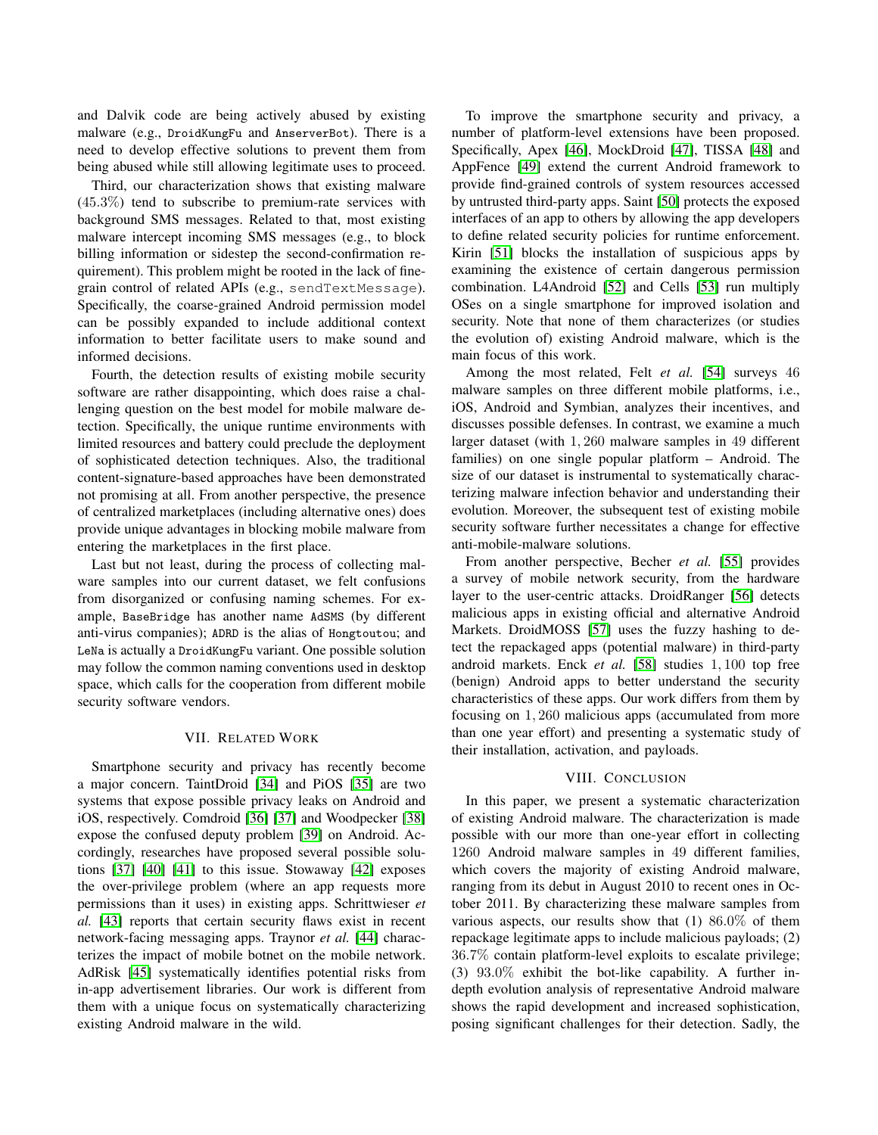and Dalvik code are being actively abused by existing malware (e.g., DroidKungFu and AnserverBot). There is a need to develop effective solutions to prevent them from being abused while still allowing legitimate uses to proceed.

Third, our characterization shows that existing malware (45.3%) tend to subscribe to premium-rate services with background SMS messages. Related to that, most existing malware intercept incoming SMS messages (e.g., to block billing information or sidestep the second-confirmation requirement). This problem might be rooted in the lack of finegrain control of related APIs (e.g., sendTextMessage). Specifically, the coarse-grained Android permission model can be possibly expanded to include additional context information to better facilitate users to make sound and informed decisions.

Fourth, the detection results of existing mobile security software are rather disappointing, which does raise a challenging question on the best model for mobile malware detection. Specifically, the unique runtime environments with limited resources and battery could preclude the deployment of sophisticated detection techniques. Also, the traditional content-signature-based approaches have been demonstrated not promising at all. From another perspective, the presence of centralized marketplaces (including alternative ones) does provide unique advantages in blocking mobile malware from entering the marketplaces in the first place.

Last but not least, during the process of collecting malware samples into our current dataset, we felt confusions from disorganized or confusing naming schemes. For example, BaseBridge has another name AdSMS (by different anti-virus companies); ADRD is the alias of Hongtoutou; and LeNa is actually a DroidKungFu variant. One possible solution may follow the common naming conventions used in desktop space, which calls for the cooperation from different mobile security software vendors.

#### VII. RELATED WORK

<span id="page-12-0"></span>Smartphone security and privacy has recently become a major concern. TaintDroid [\[34\]](#page-14-0) and PiOS [\[35\]](#page-14-1) are two systems that expose possible privacy leaks on Android and iOS, respectively. Comdroid [\[36\]](#page-14-2) [\[37\]](#page-14-3) and Woodpecker [\[38\]](#page-14-4) expose the confused deputy problem [\[39\]](#page-14-5) on Android. Accordingly, researches have proposed several possible solutions [\[37\]](#page-14-3) [\[40\]](#page-14-6) [\[41\]](#page-14-7) to this issue. Stowaway [\[42\]](#page-14-8) exposes the over-privilege problem (where an app requests more permissions than it uses) in existing apps. Schrittwieser *et al.* [\[43\]](#page-14-9) reports that certain security flaws exist in recent network-facing messaging apps. Traynor *et al.* [\[44\]](#page-14-10) characterizes the impact of mobile botnet on the mobile network. AdRisk [\[45\]](#page-14-11) systematically identifies potential risks from in-app advertisement libraries. Our work is different from them with a unique focus on systematically characterizing existing Android malware in the wild.

To improve the smartphone security and privacy, a number of platform-level extensions have been proposed. Specifically, Apex [\[46\]](#page-14-12), MockDroid [\[47\]](#page-14-13), TISSA [\[48\]](#page-14-14) and AppFence [\[49\]](#page-14-15) extend the current Android framework to provide find-grained controls of system resources accessed by untrusted third-party apps. Saint [\[50\]](#page-14-16) protects the exposed interfaces of an app to others by allowing the app developers to define related security policies for runtime enforcement. Kirin [\[51\]](#page-14-17) blocks the installation of suspicious apps by examining the existence of certain dangerous permission combination. L4Android [\[52\]](#page-14-18) and Cells [\[53\]](#page-14-19) run multiply OSes on a single smartphone for improved isolation and security. Note that none of them characterizes (or studies the evolution of) existing Android malware, which is the main focus of this work.

Among the most related, Felt *et al.* [\[54\]](#page-14-20) surveys 46 malware samples on three different mobile platforms, i.e., iOS, Android and Symbian, analyzes their incentives, and discusses possible defenses. In contrast, we examine a much larger dataset (with <sup>1</sup>, <sup>260</sup> malware samples in <sup>49</sup> different families) on one single popular platform – Android. The size of our dataset is instrumental to systematically characterizing malware infection behavior and understanding their evolution. Moreover, the subsequent test of existing mobile security software further necessitates a change for effective anti-mobile-malware solutions.

From another perspective, Becher *et al.* [\[55\]](#page-14-21) provides a survey of mobile network security, from the hardware layer to the user-centric attacks. DroidRanger [\[56\]](#page-14-22) detects malicious apps in existing official and alternative Android Markets. DroidMOSS [\[57\]](#page-14-23) uses the fuzzy hashing to detect the repackaged apps (potential malware) in third-party android markets. Enck *et al.* [\[58\]](#page-14-24) studies <sup>1</sup>, <sup>100</sup> top free (benign) Android apps to better understand the security characteristics of these apps. Our work differs from them by focusing on <sup>1</sup>, <sup>260</sup> malicious apps (accumulated from more than one year effort) and presenting a systematic study of their installation, activation, and payloads.

#### VIII. CONCLUSION

<span id="page-12-1"></span>In this paper, we present a systematic characterization of existing Android malware. The characterization is made possible with our more than one-year effort in collecting 1260 Android malware samples in 49 different families, which covers the majority of existing Android malware, ranging from its debut in August 2010 to recent ones in October 2011. By characterizing these malware samples from various aspects, our results show that (1) <sup>86</sup>.0% of them repackage legitimate apps to include malicious payloads; (2) <sup>36</sup>.7% contain platform-level exploits to escalate privilege; (3) <sup>93</sup>.0% exhibit the bot-like capability. A further indepth evolution analysis of representative Android malware shows the rapid development and increased sophistication, posing significant challenges for their detection. Sadly, the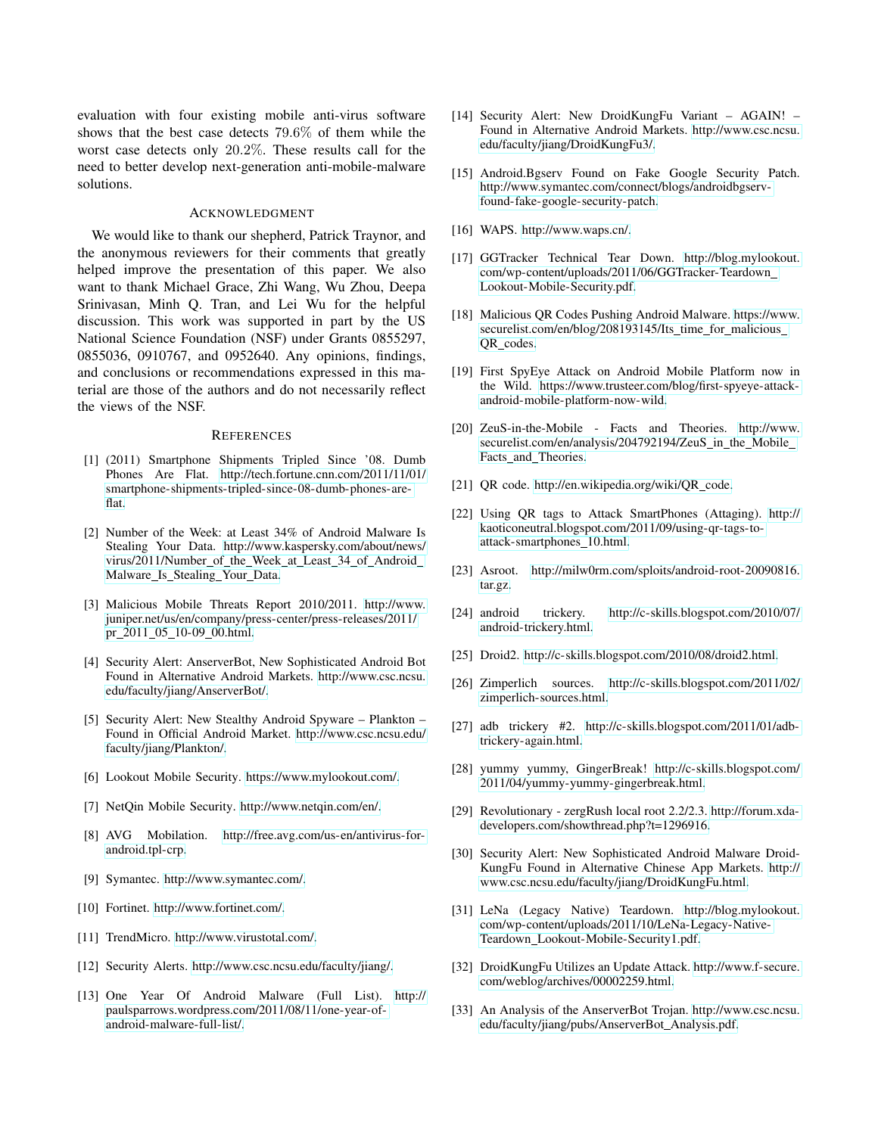evaluation with four existing mobile anti-virus software shows that the best case detects <sup>79</sup>.6% of them while the worst case detects only <sup>20</sup>.2%. These results call for the need to better develop next-generation anti-mobile-malware solutions.

## **ACKNOWLEDGMENT**

We would like to thank our shepherd, Patrick Traynor, and the anonymous reviewers for their comments that greatly helped improve the presentation of this paper. We also want to thank Michael Grace, Zhi Wang, Wu Zhou, Deepa Srinivasan, Minh Q. Tran, and Lei Wu for the helpful discussion. This work was supported in part by the US National Science Foundation (NSF) under Grants 0855297, 0855036, 0910767, and 0952640. Any opinions, findings, and conclusions or recommendations expressed in this material are those of the authors and do not necessarily reflect the views of the NSF.

#### **REFERENCES**

- <span id="page-13-0"></span>[1] (2011) Smartphone Shipments Tripled Since '08. Dumb Phones Are Flat. [http://tech.fortune.cnn.com/2011/11/01/](http://tech.fortune.cnn.com/2011/11/01/smartphone-shipments-tripled-since-08-dumb-phones-are-flat) [smartphone-shipments-tripled-since-08-dumb-phones-are](http://tech.fortune.cnn.com/2011/11/01/smartphone-shipments-tripled-since-08-dumb-phones-are-flat)[flat.](http://tech.fortune.cnn.com/2011/11/01/smartphone-shipments-tripled-since-08-dumb-phones-are-flat)
- <span id="page-13-1"></span>[2] Number of the Week: at Least 34% of Android Malware Is Stealing Your Data. [http://www.kaspersky.com/about/news/](http://www.kaspersky.com/about/news/virus/2011/Number_of_the_Week_at_Least_34_of_Android_Malware_Is_Stealing_Your_Data) [virus/2011/Number](http://www.kaspersky.com/about/news/virus/2011/Number_of_the_Week_at_Least_34_of_Android_Malware_Is_Stealing_Your_Data)\_of\_the\_Week\_at\_Least\_34\_of\_Android\_ [Malware](http://www.kaspersky.com/about/news/virus/2011/Number_of_the_Week_at_Least_34_of_Android_Malware_Is_Stealing_Your_Data)\_Is\_Stealing\_Your\_Data.
- <span id="page-13-2"></span>[3] Malicious Mobile Threats Report 2010/2011. [http://www.](http://www.juniper.net/us/en/company/press-center/press-releases/2011/pr_2011_05_10-09_00.html) [juniper.net/us/en/company/press-center/press-releases/2011/](http://www.juniper.net/us/en/company/press-center/press-releases/2011/pr_2011_05_10-09_00.html) pr\_2011\_05\_10-09\_[00.html.](http://www.juniper.net/us/en/company/press-center/press-releases/2011/pr_2011_05_10-09_00.html)
- <span id="page-13-3"></span>[4] Security Alert: AnserverBot, New Sophisticated Android Bot Found in Alternative Android Markets. [http://www.csc.ncsu.](http://www.csc.ncsu.edu/faculty/jiang/AnserverBot/) [edu/faculty/jiang/AnserverBot/.](http://www.csc.ncsu.edu/faculty/jiang/AnserverBot/)
- <span id="page-13-4"></span>[5] Security Alert: New Stealthy Android Spyware – Plankton – Found in Official Android Market. [http://www.csc.ncsu.edu/](http://www.csc.ncsu.edu/faculty/jiang/Plankton/) [faculty/jiang/Plankton/.](http://www.csc.ncsu.edu/faculty/jiang/Plankton/)
- <span id="page-13-5"></span>[6] Lookout Mobile Security. [https://www.mylookout.com/.](https://www.mylookout.com/)
- [7] NetQin Mobile Security. [http://www.netqin.com/en/.](http://www.netqin.com/en/)
- [8] AVG Mobilation. [http://free.avg.com/us-en/antivirus-for](http://free.avg.com/us-en/antivirus-for-android.tpl-crp)[android.tpl-crp.](http://free.avg.com/us-en/antivirus-for-android.tpl-crp)
- [9] Symantec. [http://www.symantec.com/.](http://www.symantec.com/)
- [10] Fortinet. [http://www.fortinet.com/.](http://www.fortinet.com/)
- [11] TrendMicro. [http://www.virustotal.com/.](http://www.virustotal.com/)
- <span id="page-13-6"></span>[12] Security Alerts. [http://www.csc.ncsu.edu/faculty/jiang/.](http://www.csc.ncsu.edu/faculty/jiang/)
- <span id="page-13-7"></span>[13] One Year Of Android Malware (Full List). [http://](http://paulsparrows.wordpress.com/2011/08/11/one-year-of-android-malware-full-list/) [paulsparrows.wordpress.com/2011/08/11/one-year-of](http://paulsparrows.wordpress.com/2011/08/11/one-year-of-android-malware-full-list/)[android-malware-full-list/.](http://paulsparrows.wordpress.com/2011/08/11/one-year-of-android-malware-full-list/)
- <span id="page-13-8"></span>[14] Security Alert: New DroidKungFu Variant – AGAIN! – Found in Alternative Android Markets. [http://www.csc.ncsu.](http://www.csc.ncsu.edu/faculty/jiang/DroidKungFu3/) [edu/faculty/jiang/DroidKungFu3/.](http://www.csc.ncsu.edu/faculty/jiang/DroidKungFu3/)
- <span id="page-13-9"></span>[15] Android.Bgserv Found on Fake Google Security Patch. [http://www.symantec.com/connect/blogs/androidbgserv](http://www.symantec.com/connect/blogs/androidbgserv-found-fake-google-security-patch)[found-fake-google-security-patch.](http://www.symantec.com/connect/blogs/androidbgserv-found-fake-google-security-patch)
- <span id="page-13-10"></span>[16] WAPS. [http://www.waps.cn/.](http://www.waps.cn/)
- <span id="page-13-11"></span>[17] GGTracker Technical Tear Down. [http://blog.mylookout.](http://blog.mylookout.com/wp-content/uploads/2011/06/GGTracker-Teardown_Lookout-Mobile-Security.pdf) [com/wp-content/uploads/2011/06/GGTracker-Teardown](http://blog.mylookout.com/wp-content/uploads/2011/06/GGTracker-Teardown_Lookout-Mobile-Security.pdf) [Lookout-Mobile-Security.pdf.](http://blog.mylookout.com/wp-content/uploads/2011/06/GGTracker-Teardown_Lookout-Mobile-Security.pdf)
- <span id="page-13-12"></span>[18] Malicious QR Codes Pushing Android Malware. [https://www.](https://www. securelist.com/en/blog/208193145/Its_time_for_malicious_QR_codes) [securelist.com/en/blog/208193145/Its](https://www. securelist.com/en/blog/208193145/Its_time_for_malicious_QR_codes)\_time\_for\_malicious\_ QR\_[codes.](https://www. securelist.com/en/blog/208193145/Its_time_for_malicious_QR_codes)
- <span id="page-13-13"></span>[19] First SpyEye Attack on Android Mobile Platform now in the Wild. [https://www.trusteer.com/blog/first-spyeye-attack](https://www.trusteer.com/blog/first-spyeye-attack-android-mobile-platform-now-wild)[android-mobile-platform-now-wild.](https://www.trusteer.com/blog/first-spyeye-attack-android-mobile-platform-now-wild)
- <span id="page-13-14"></span>[20] ZeuS-in-the-Mobile - Facts and Theories. [http://www.](http://www.securelist.com/en/analysis/204792194/ZeuS_in_the_Mobile_Facts_and_Theories) [securelist.com/en/analysis/204792194/ZeuS](http://www.securelist.com/en/analysis/204792194/ZeuS_in_the_Mobile_Facts_and_Theories)\_in\_the\_Mobile\_ Facts\_and\_[Theories.](http://www.securelist.com/en/analysis/204792194/ZeuS_in_the_Mobile_Facts_and_Theories)
- <span id="page-13-15"></span>[21] OR code. http://en.wikipedia.org/wiki/OR code.
- <span id="page-13-16"></span>[22] Using QR tags to Attack SmartPhones (Attaging). [http://](http://kaoticoneutral.blogspot.com/2011/09/using-qr-tags-to-attack-smartphones_10.html) [kaoticoneutral.blogspot.com/2011/09/using-qr-tags-to](http://kaoticoneutral.blogspot.com/2011/09/using-qr-tags-to-attack-smartphones_10.html)[attack-smartphones](http://kaoticoneutral.blogspot.com/2011/09/using-qr-tags-to-attack-smartphones_10.html) 10.html.
- <span id="page-13-17"></span>[23] Asroot. [http://milw0rm.com/sploits/android-root-20090816.](http://milw0rm.com/sploits/android-root-20090816.tar.gz) [tar.gz.](http://milw0rm.com/sploits/android-root-20090816.tar.gz)
- <span id="page-13-18"></span>[24] android trickery. [http://c-skills.blogspot.com/2010/07/](http://c-skills.blogspot.com/2010/07/android-trickery.html) [android-trickery.html.](http://c-skills.blogspot.com/2010/07/android-trickery.html)
- <span id="page-13-19"></span>[25] Droid2. [http://c-skills.blogspot.com/2010/08/droid2.html.](http://c-skills.blogspot.com/2010/08/droid2.html)
- <span id="page-13-20"></span>[26] Zimperlich sources. [http://c-skills.blogspot.com/2011/02/](http://c-skills.blogspot.com/2011/02/zimperlich-sources.html) [zimperlich-sources.html.](http://c-skills.blogspot.com/2011/02/zimperlich-sources.html)
- <span id="page-13-21"></span>[27] adb trickery #2. [http://c-skills.blogspot.com/2011/01/adb](http://c-skills.blogspot.com/2011/01/adb-trickery-again.html)[trickery-again.html.](http://c-skills.blogspot.com/2011/01/adb-trickery-again.html)
- <span id="page-13-22"></span>[28] yummy yummy, GingerBreak! [http://c-skills.blogspot.com/](http://c-skills.blogspot.com/2011/04/yummy-yummy-gingerbreak.html) [2011/04/yummy-yummy-gingerbreak.html.](http://c-skills.blogspot.com/2011/04/yummy-yummy-gingerbreak.html)
- <span id="page-13-23"></span>[29] Revolutionary - zergRush local root 2.2/2.3. [http://forum.xda](http://forum.xda-developers.com/showthread.php?t=1296916)[developers.com/showthread.php?t=1296916.](http://forum.xda-developers.com/showthread.php?t=1296916)
- <span id="page-13-24"></span>[30] Security Alert: New Sophisticated Android Malware Droid-KungFu Found in Alternative Chinese App Markets. [http://](http://www.csc.ncsu.edu/faculty/jiang/DroidKungFu.html) [www.csc.ncsu.edu/faculty/jiang/DroidKungFu.html.](http://www.csc.ncsu.edu/faculty/jiang/DroidKungFu.html)
- <span id="page-13-25"></span>[31] LeNa (Legacy Native) Teardown. [http://blog.mylookout.](http://blog.mylookout.com/wp-content/uploads/2011/10/LeNa-Legacy-Native-Teardown_Lookout-Mobile-Security1.pdf) [com/wp-content/uploads/2011/10/LeNa-Legacy-Native-](http://blog.mylookout.com/wp-content/uploads/2011/10/LeNa-Legacy-Native-Teardown_Lookout-Mobile-Security1.pdf)Teardown [Lookout-Mobile-Security1.pdf.](http://blog.mylookout.com/wp-content/uploads/2011/10/LeNa-Legacy-Native-Teardown_Lookout-Mobile-Security1.pdf)
- <span id="page-13-26"></span>[32] DroidKungFu Utilizes an Update Attack. [http://www.f-secure.](http://www.f-secure.com/weblog/archives/00002259.html) [com/weblog/archives/00002259.html.](http://www.f-secure.com/weblog/archives/00002259.html)
- <span id="page-13-27"></span>[33] An Analysis of the AnserverBot Trojan. [http://www.csc.ncsu.](http://www.csc.ncsu.edu/faculty/jiang/pubs/AnserverBot_Analysis.pdf) [edu/faculty/jiang/pubs/AnserverBot](http://www.csc.ncsu.edu/faculty/jiang/pubs/AnserverBot_Analysis.pdf) Analysis.pdf.